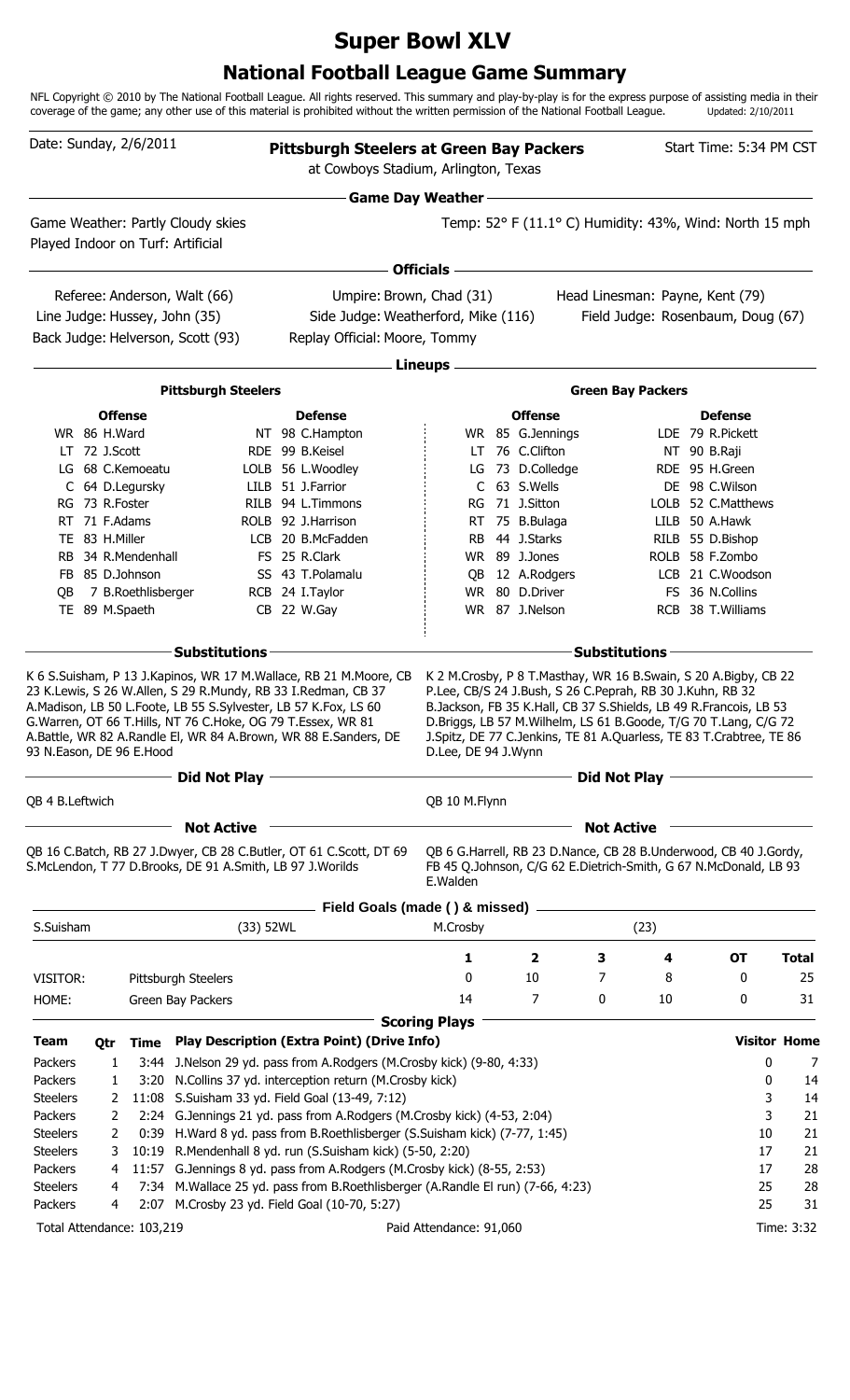# **Super Bowl XLV**

## **National Football League Game Summary**

NFL Copyright © 2010 by The National Football League. All rights reserved. This summary and play-by-play is for the express purpose of assisting media in their coverage of the game; any other use of this material is prohibited without the written permission of the National Football League. Updated: 2/10/2011

| Date: Sunday, 2/6/2011   |                 |                                                      |                                                                                                                                                           | <b>Pittsburgh Steelers at Green Bay Packers</b><br>at Cowboys Stadium, Arlington, Texas                                             |                          |                             |                   |                                                                                                                                                                                                                                                                          | Start Time: 5:34 PM CST              |                     |
|--------------------------|-----------------|------------------------------------------------------|-----------------------------------------------------------------------------------------------------------------------------------------------------------|-------------------------------------------------------------------------------------------------------------------------------------|--------------------------|-----------------------------|-------------------|--------------------------------------------------------------------------------------------------------------------------------------------------------------------------------------------------------------------------------------------------------------------------|--------------------------------------|---------------------|
|                          |                 |                                                      |                                                                                                                                                           |                                                                                                                                     | <b>Game Day Weather-</b> |                             |                   |                                                                                                                                                                                                                                                                          |                                      |                     |
|                          |                 |                                                      | Game Weather: Partly Cloudy skies<br>Played Indoor on Turf: Artificial                                                                                    |                                                                                                                                     |                          |                             |                   | Temp: 52° F (11.1° C) Humidity: 43%, Wind: North 15 mph                                                                                                                                                                                                                  |                                      |                     |
|                          |                 |                                                      |                                                                                                                                                           |                                                                                                                                     | <b>Officials</b>         |                             |                   |                                                                                                                                                                                                                                                                          |                                      |                     |
|                          |                 |                                                      | Referee: Anderson, Walt (66)                                                                                                                              | Umpire: Brown, Chad (31)                                                                                                            |                          |                             |                   | Head Linesman: Payne, Kent (79)                                                                                                                                                                                                                                          |                                      |                     |
|                          |                 |                                                      | Line Judge: Hussey, John (35)                                                                                                                             | Side Judge: Weatherford, Mike (116)                                                                                                 |                          |                             |                   | Field Judge: Rosenbaum, Doug (67)                                                                                                                                                                                                                                        |                                      |                     |
|                          |                 |                                                      | Back Judge: Helverson, Scott (93)                                                                                                                         | Replay Official: Moore, Tommy                                                                                                       |                          |                             |                   |                                                                                                                                                                                                                                                                          |                                      |                     |
|                          |                 |                                                      |                                                                                                                                                           |                                                                                                                                     | Lineups -                |                             |                   |                                                                                                                                                                                                                                                                          |                                      |                     |
|                          |                 |                                                      | <b>Pittsburgh Steelers</b>                                                                                                                                |                                                                                                                                     |                          |                             |                   | <b>Green Bay Packers</b>                                                                                                                                                                                                                                                 |                                      |                     |
|                          |                 | <b>Offense</b>                                       |                                                                                                                                                           | <b>Defense</b>                                                                                                                      |                          | <b>Offense</b>              |                   |                                                                                                                                                                                                                                                                          | <b>Defense</b>                       |                     |
|                          | WR 86 H.Ward    |                                                      |                                                                                                                                                           | NT 98 C.Hampton                                                                                                                     |                          | WR 85 G.Jennings            |                   |                                                                                                                                                                                                                                                                          | LDE 79 R.Pickett                     |                     |
|                          | $LT$ 72 J.Scott |                                                      |                                                                                                                                                           | RDE 99 B.Keisel                                                                                                                     |                          | LT 76 C.Clifton             |                   |                                                                                                                                                                                                                                                                          | NT 90 B.Raji                         |                     |
|                          |                 | LG 68 C.Kemoeatu                                     |                                                                                                                                                           | LOLB 56 L.Woodley                                                                                                                   | LG                       | 73 D.Colledge               |                   |                                                                                                                                                                                                                                                                          | RDE 95 H.Green                       |                     |
|                          | RG 73 R.Foster  | C 64 D.Legursky                                      |                                                                                                                                                           | LILB 51 J.Farrior<br>RILB 94 L.Timmons                                                                                              | RG                       | C 63 S.Wells<br>71 J.Sitton |                   |                                                                                                                                                                                                                                                                          | DE 98 C.Wilson<br>LOLB 52 C.Matthews |                     |
|                          | RT 71 F.Adams   |                                                      |                                                                                                                                                           | ROLB 92 J.Harrison                                                                                                                  |                          | RT 75 B.Bulaga              |                   |                                                                                                                                                                                                                                                                          | LILB 50 A.Hawk                       |                     |
|                          | TE 83 H.Miller  |                                                      |                                                                                                                                                           | LCB 20 B.McFadden                                                                                                                   |                          | RB 44 J.Starks              |                   |                                                                                                                                                                                                                                                                          | RILB 55 D.Bishop                     |                     |
|                          |                 | RB 34 R.Mendenhall                                   |                                                                                                                                                           | FS 25 R.Clark                                                                                                                       |                          | WR 89 J.Jones               |                   |                                                                                                                                                                                                                                                                          | ROLB 58 F.Zombo                      |                     |
|                          | FB 85 D.Johnson |                                                      |                                                                                                                                                           | SS 43 T.Polamalu                                                                                                                    | QB                       | 12 A.Rodgers                |                   |                                                                                                                                                                                                                                                                          | LCB 21 C.Woodson                     |                     |
| QB                       |                 | 7 B.Roethlisberger                                   |                                                                                                                                                           | RCB 24 I.Taylor                                                                                                                     |                          | WR 80 D.Driver              |                   |                                                                                                                                                                                                                                                                          | FS 36 N.Collins                      |                     |
|                          | TE 89 M.Spaeth  |                                                      |                                                                                                                                                           | CB 22 W.Gay                                                                                                                         |                          | WR 87 J.Nelson              |                   |                                                                                                                                                                                                                                                                          | RCB 38 T.Williams                    |                     |
|                          |                 |                                                      | <b>Substitutions</b>                                                                                                                                      |                                                                                                                                     |                          |                             |                   | <b>Substitutions</b>                                                                                                                                                                                                                                                     |                                      |                     |
| 93 N.Eason, DE 96 E.Hood |                 |                                                      | A.Madison, LB 50 L.Foote, LB 55 S.Sylvester, LB 57 K.Fox, LS 60<br>G. Warren, OT 66 T. Hills, NT 76 C. Hoke, OG 79 T. Essex, WR 81<br><b>Did Not Play</b> | 23 K.Lewis, S 26 W.Allen, S 29 R.Mundy, RB 33 I.Redman, CB 37<br>A.Battle, WR 82 A.Randle El, WR 84 A.Brown, WR 88 E.Sanders, DE    | D.Lee, DE 94 J.Wynn      |                             | Did Not Play      | P.Lee, CB/S 24 J.Bush, S 26 C.Peprah, RB 30 J.Kuhn, RB 32<br>B.Jackson, FB 35 K.Hall, CB 37 S.Shields, LB 49 R.Francois, LB 53<br>D.Briggs, LB 57 M.Wilhelm, LS 61 B.Goode, T/G 70 T.Lang, C/G 72<br>J.Spitz, DE 77 C.Jenkins, TE 81 A.Quarless, TE 83 T.Crabtree, TE 86 |                                      |                     |
| QB 4 B.Leftwich          |                 |                                                      |                                                                                                                                                           |                                                                                                                                     | QB 10 M.Flynn            |                             |                   |                                                                                                                                                                                                                                                                          |                                      |                     |
|                          |                 |                                                      | <b>Not Active</b>                                                                                                                                         |                                                                                                                                     |                          |                             | <b>Not Active</b> |                                                                                                                                                                                                                                                                          |                                      |                     |
|                          |                 |                                                      | S.McLendon, T 77 D.Brooks, DE 91 A.Smith, LB 97 J.Worilds                                                                                                 | QB 16 C.Batch, RB 27 J.Dwyer, CB 28 C.Butler, OT 61 C.Scott, DT 69                                                                  | E.Walden                 |                             |                   | QB 6 G.Harrell, RB 23 D.Nance, CB 28 B.Underwood, CB 40 J.Gordy,<br>FB 45 Q.Johnson, C/G 62 E.Dietrich-Smith, G 67 N.McDonald, LB 93                                                                                                                                     |                                      |                     |
|                          |                 |                                                      |                                                                                                                                                           | Field Goals (made () & missed)                                                                                                      |                          |                             |                   |                                                                                                                                                                                                                                                                          |                                      |                     |
| S.Suisham                |                 |                                                      | (33) 52WL                                                                                                                                                 |                                                                                                                                     | M.Crosby                 |                             |                   | (23)                                                                                                                                                                                                                                                                     |                                      |                     |
|                          |                 |                                                      |                                                                                                                                                           |                                                                                                                                     | 1                        | $\overline{\mathbf{2}}$     | 3                 | 4                                                                                                                                                                                                                                                                        | OT                                   | <b>Total</b>        |
| VISITOR:                 |                 |                                                      | Pittsburgh Steelers                                                                                                                                       |                                                                                                                                     | 0                        | 10                          | 7                 | 8                                                                                                                                                                                                                                                                        | 0                                    | 25                  |
| HOME:                    |                 |                                                      | Green Bay Packers                                                                                                                                         |                                                                                                                                     | 14                       | 7                           | 0                 | 10                                                                                                                                                                                                                                                                       | 0                                    | 31                  |
| <b>Team</b>              |                 |                                                      |                                                                                                                                                           | <b>Play Description (Extra Point) (Drive Info)</b>                                                                                  | <b>Scoring Plays</b>     |                             |                   |                                                                                                                                                                                                                                                                          |                                      | <b>Visitor Home</b> |
| Packers                  | Otr<br>1        | Time                                                 |                                                                                                                                                           | J.Nelson 29 yd. pass from A.Rodgers (M.Crosby kick) (9-80, 4:33)                                                                    |                          |                             |                   |                                                                                                                                                                                                                                                                          |                                      | 0<br>7              |
| Packers                  | 1               | 3:44                                                 |                                                                                                                                                           | 3:20 N.Collins 37 yd. interception return (M.Crosby kick)                                                                           |                          |                             |                   |                                                                                                                                                                                                                                                                          |                                      | 0<br>14             |
| <b>Steelers</b>          | 2               | 11:08                                                |                                                                                                                                                           | S.Suisham 33 yd. Field Goal (13-49, 7:12)                                                                                           |                          |                             |                   |                                                                                                                                                                                                                                                                          |                                      | 3<br>14             |
| Packers                  | 2               | 2:24                                                 |                                                                                                                                                           | G.Jennings 21 yd. pass from A.Rodgers (M.Crosby kick) (4-53, 2:04)                                                                  |                          |                             |                   |                                                                                                                                                                                                                                                                          |                                      | 3<br>21             |
| <b>Steelers</b>          | 2               | 0:39                                                 |                                                                                                                                                           | H.Ward 8 yd. pass from B.Roethlisberger (S.Suisham kick) (7-77, 1:45)                                                               |                          |                             |                   |                                                                                                                                                                                                                                                                          |                                      | 21<br>10            |
| <b>Steelers</b>          | 10:19           | R.Mendenhall 8 yd. run (S.Suisham kick) (5-50, 2:20) |                                                                                                                                                           |                                                                                                                                     |                          |                             |                   | 21<br>17                                                                                                                                                                                                                                                                 |                                      |                     |
| Packers                  | 11:57           |                                                      | G.Jennings 8 yd. pass from A.Rodgers (M.Crosby kick) (8-55, 2:53)                                                                                         |                                                                                                                                     |                          |                             |                   |                                                                                                                                                                                                                                                                          | 28<br>17                             |                     |
| <b>Steelers</b>          | 4               |                                                      |                                                                                                                                                           | 7:34 M. Wallace 25 yd. pass from B. Roethlisberger (A. Randle El run) (7-66, 4:23)<br>2:07 M.Crosby 23 yd. Field Goal (10-70, 5:27) |                          |                             |                   |                                                                                                                                                                                                                                                                          |                                      | 25<br>28<br>25      |
| Packers                  | 4               |                                                      |                                                                                                                                                           |                                                                                                                                     |                          |                             |                   |                                                                                                                                                                                                                                                                          |                                      | 31                  |
|                          |                 | Total Attendance: 103,219                            |                                                                                                                                                           |                                                                                                                                     | Paid Attendance: 91,060  |                             |                   |                                                                                                                                                                                                                                                                          |                                      | Time: 3:32          |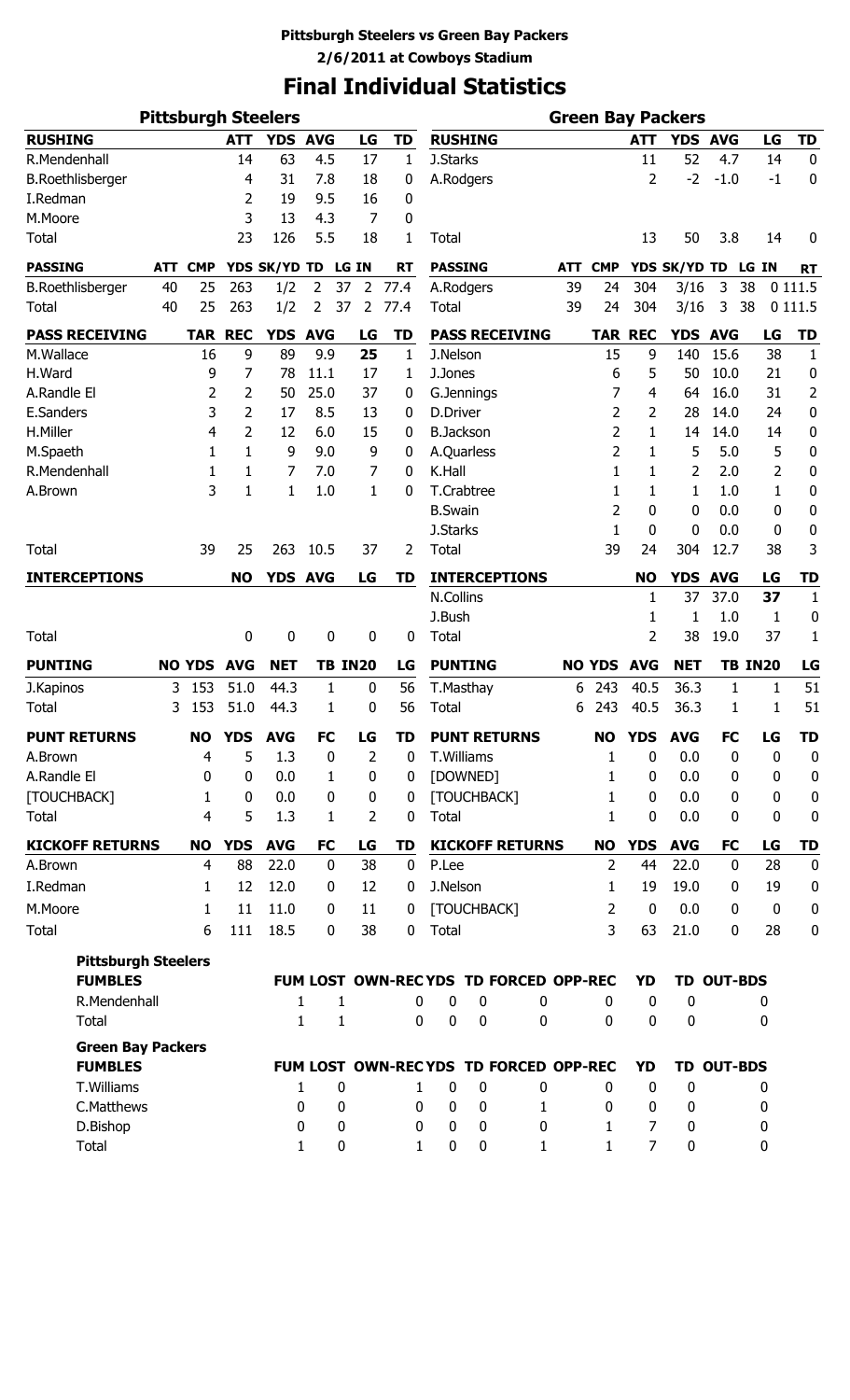# **Final Individual Statistics**

| <b>Pittsburgh Steelers</b> |            |                |              |              |                   |                |              | <b>Green Bay Packers</b> |                                       |          |            |                |                  |                  |              |                  |                  |
|----------------------------|------------|----------------|--------------|--------------|-------------------|----------------|--------------|--------------------------|---------------------------------------|----------|------------|----------------|------------------|------------------|--------------|------------------|------------------|
| <b>RUSHING</b>             |            |                | <b>ATT</b>   |              | YDS AVG           | LG             | <b>TD</b>    |                          | <b>RUSHING</b>                        |          |            |                | <b>ATT</b>       | YDS AVG          |              | LG               | <b>TD</b>        |
| R.Mendenhall               |            |                | 14           | 63           | 4.5               | 17             | 1            | J.Starks                 |                                       |          |            |                | 11               | 52               | 4.7          | 14               | $\mathbf 0$      |
| <b>B.Roethlisberger</b>    |            |                | 4            | 31           | 7.8               | 18             | 0            |                          | A.Rodgers                             |          |            |                | 2                | $-2$             | $-1.0$       | $-1$             | 0                |
| I.Redman                   |            |                | 2            | 19           | 9.5               | 16             | 0            |                          |                                       |          |            |                |                  |                  |              |                  |                  |
| M.Moore                    |            |                | 3            | 13           | 4.3               | 7              | 0            |                          |                                       |          |            |                |                  |                  |              |                  |                  |
| <b>Total</b>               |            |                | 23           | 126          | 5.5               | 18             | 1            | <b>Total</b>             |                                       |          |            |                | 13               | 50               | 3.8          | 14               | 0                |
| <b>PASSING</b>             | <b>ATT</b> | <b>CMP</b>     |              | YDS SK/YD TD |                   | LG IN          | <b>RT</b>    | <b>PASSING</b>           |                                       |          | <b>ATT</b> | <b>CMP</b>     |                  | YDS SK/YD TD     |              | LG IN            | <b>RT</b>        |
| <b>B.Roethlisberger</b>    | 40         | 25             | 263          | 1/2          | 2<br>37           | $\overline{2}$ | 77.4         |                          | A.Rodgers                             |          | 39         | 24             | 304              | 3/16             | 3            | 38               | 0 1 1 1.5        |
| Total                      | 40         | 25             | 263          | 1/2          | 2<br>37           | $\overline{2}$ | 77.4         | Total                    |                                       |          | 39         | 24             | 304              | 3/16             | 3            | 38               | 0 1 1 1.5        |
| <b>PASS RECEIVING</b>      |            | <b>TAR</b>     | <b>REC</b>   | <b>YDS</b>   | <b>AVG</b>        | LG             | TD           |                          | <b>PASS RECEIVING</b>                 |          |            |                | <b>TAR REC</b>   | <b>YDS</b>       | <b>AVG</b>   | LG               | <b>TD</b>        |
| M.Wallace                  |            | 16             | 9            | 89           | 9.9               | 25             | $\mathbf{1}$ | J.Nelson                 |                                       |          |            | 15             | 9                | 140              | 15.6         | 38               | $\mathbf{1}$     |
| H.Ward                     |            | 9              | 7            | 78           | 11.1              | 17             | 1            | J.Jones                  |                                       |          |            | 6              | 5                | 50               | 10.0         | 21               | $\boldsymbol{0}$ |
| A.Randle El                |            | 2              | 2            | 50           | 25.0              | 37             | 0            |                          | G.Jennings                            |          |            | 7              | 4                | 64               | 16.0         | 31               | 2                |
| E.Sanders                  |            | 3              | 2            | 17           | 8.5               | 13             | 0            | D.Driver                 |                                       |          |            | 2              | 2                | 28               | 14.0         | 24               | 0                |
| H.Miller                   |            | 4              | 2            | 12           | 6.0               | 15             | 0            | <b>B.Jackson</b>         |                                       |          |            | 2              | 1                | 14               | 14.0         | 14               | 0                |
| M.Spaeth                   |            | 1              | 1            | 9            | 9.0               | 9              | 0            |                          | A.Quarless                            |          |            | 2              | 1                | 5                | 5.0          | 5                | $\pmb{0}$        |
| R.Mendenhall               |            | 1              | 1            | 7            | 7.0               | 7              | 0            | K.Hall                   |                                       |          |            | 1              | 1                | 2                | 2.0          | $\overline{2}$   | 0                |
| A.Brown                    |            | 3              | $\mathbf{1}$ | 1            | 1.0               | 1              | 0            |                          | T.Crabtree                            |          |            | 1              | 1                | 1                | 1.0          | 1                | 0                |
|                            |            |                |              |              |                   |                |              | <b>B.Swain</b>           |                                       |          |            | $\overline{2}$ | 0                | 0                | 0.0          | 0                | $\pmb{0}$        |
|                            |            |                |              |              |                   |                |              | J.Starks                 |                                       |          |            | 1              | $\mathbf{0}$     | 0                | 0.0          | 0                | 0                |
| <b>Total</b>               |            | 39             | 25           | 263          | 10.5              | 37             | 2            | <b>Total</b>             |                                       |          |            | 39             | 24               | 304              | 12.7         | 38               | 3                |
| <b>INTERCEPTIONS</b>       |            |                | <b>NO</b>    |              | YDS AVG           | LG             | TD           |                          | <b>INTERCEPTIONS</b>                  |          |            |                | <b>NO</b>        | <b>YDS</b>       | <b>AVG</b>   | LG               | <b>TD</b>        |
|                            |            |                |              |              |                   |                |              | N.Collins                |                                       |          |            |                | 1                | 37               | 37.0         | 37               | $\mathbf{1}$     |
|                            |            |                |              |              |                   |                |              | J.Bush                   |                                       |          |            |                | 1                | 1                | 1.0          | 1                | $\bf{0}$         |
| <b>Total</b>               |            |                | 0            | 0            | 0                 | 0              | 0            | Total                    |                                       |          |            |                | 2                | 38               | 19.0         | 37               | 1                |
| <b>PUNTING</b>             |            | <b>NO YDS</b>  | <b>AVG</b>   | <b>NET</b>   | <b>TB IN20</b>    |                | LG           |                          | <b>PUNTING</b>                        |          |            | <b>NO YDS</b>  | <b>AVG</b>       | <b>NET</b>       |              | <b>TB IN20</b>   | LG               |
| J.Kapinos                  | 3          | 153            | 51.0         | 44.3         | 1                 | 0              | 56           |                          | T.Masthay                             |          | 6          | 243            | 40.5             | 36.3             | 1            | 1                | 51               |
| <b>Total</b>               | 3          | 153            | 51.0         | 44.3         | 1                 | 0              | 56           | <b>Total</b>             |                                       |          | 6          | 243            | 40.5             | 36.3             | 1            | 1                | 51               |
| <b>PUNT RETURNS</b>        |            | <b>NO</b>      | <b>YDS</b>   | <b>AVG</b>   | <b>FC</b>         | LG             | TD           |                          | <b>PUNT RETURNS</b>                   |          |            | <b>NO</b>      | <b>YDS</b>       | <b>AVG</b>       | <b>FC</b>    | LG               | <b>TD</b>        |
| A.Brown                    |            | $\overline{4}$ | 5            | 1.3          | $\mathbf 0$       | $\overline{2}$ | 0            |                          | T.Williams                            |          |            | 1              | 0                | 0.0              | $\mathbf 0$  | 0                | $\boldsymbol{0}$ |
| A.Randle El                |            | 0              | $\mathbf 0$  | 0.0          | 1                 | $\mathbf 0$    | 0            |                          | [DOWNED]                              |          |            | 1              | 0                | 0.0              | $\mathbf{0}$ | 0                | $\bf{0}$         |
| [TOUCHBACK]                |            | 1              | $\mathbf 0$  | 0.0          | 0                 | 0              | 0            |                          | [TOUCHBACK]                           |          |            | 1              | 0                | 0.0              | 0            | 0                | $\bf{0}$         |
| Total                      |            | 4              | 5            | 1.3          | 1                 | 2              | 0            | Total                    |                                       |          |            | 1              | 0                | 0.0              | 0            | 0                | $\bf{0}$         |
| <b>KICKOFF RETURNS</b>     |            | <b>NO</b>      | <b>YDS</b>   | <b>AVG</b>   | <b>FC</b>         | LG             | TD           |                          | <b>KICKOFF RETURNS</b>                |          |            | <b>NO</b>      | <b>YDS</b>       | <b>AVG</b>       | <b>FC</b>    | LG               | <b>TD</b>        |
| A.Brown                    |            | 4              | 88           | 22.0         | $\mathbf 0$       | 38             | $\mathbf 0$  | P.Lee                    |                                       |          |            | $\overline{2}$ | 44               | 22.0             | $\bf{0}$     | 28               | $\mathbf 0$      |
| I.Redman                   |            | 1              | 12           | 12.0         | 0                 | 12             | 0            | J.Nelson                 |                                       |          |            | 1              | 19               | 19.0             | 0            | 19               | $\bf{0}$         |
| M.Moore                    |            | 1              | 11           | 11.0         | 0                 | 11             | 0            |                          | [TOUCHBACK]                           |          |            | 2              | $\mathbf 0$      | 0.0              | 0            | $\boldsymbol{0}$ | $\bf{0}$         |
| <b>Total</b>               |            | 6              | 111          | 18.5         | 0                 | 38             | 0            | Total                    |                                       |          |            | 3              | 63               | 21.0             | 0            | 28               | $\bf{0}$         |
| <b>Pittsburgh Steelers</b> |            |                |              |              |                   |                |              |                          |                                       |          |            |                |                  |                  |              |                  |                  |
| <b>FUMBLES</b>             |            |                |              |              |                   |                |              |                          | FUM LOST OWN-RECYDS TD FORCED OPP-REC |          |            |                | YD               |                  | TD OUT-BDS   |                  |                  |
| R.Mendenhall               |            |                |              |              | 1<br>1            |                | 0            | 0                        | 0                                     | 0        |            | 0              | 0                | $\boldsymbol{0}$ |              | 0                |                  |
| Total                      |            |                |              |              | 1<br>$\mathbf{1}$ |                | $\Omega$     | $\mathbf 0$              | 0                                     | $\Omega$ |            | $\Omega$       | 0                | 0                |              | 0                |                  |
| <b>Green Bay Packers</b>   |            |                |              |              |                   |                |              |                          |                                       |          |            |                |                  |                  |              |                  |                  |
| <b>FUMBLES</b>             |            |                |              |              |                   |                |              |                          | FUM LOST OWN-RECYDS TD FORCED OPP-REC |          |            |                | YD               |                  | TD OUT-BDS   |                  |                  |
| T.Williams                 |            |                |              |              | 0<br>1            |                | 1            | 0                        | 0                                     | 0        |            | 0              | $\boldsymbol{0}$ | $\mathbf 0$      |              | 0                |                  |
| C.Matthews                 |            |                |              |              | 0<br>0            |                | 0            | 0                        | 0                                     | 1        |            | 0              | 0                | 0                |              | 0                |                  |
| D.Bishop                   |            |                |              |              | 0<br>0            |                | 0            | 0                        | $\mathbf 0$                           | 0        |            | $\mathbf{1}$   | $\overline{7}$   | 0                |              | 0                |                  |
| Total                      |            |                |              |              | 1<br>0            |                | 1            | 0                        | 0                                     | 1        |            | $\mathbf{1}$   | $\overline{7}$   | $\bf{0}$         |              | 0                |                  |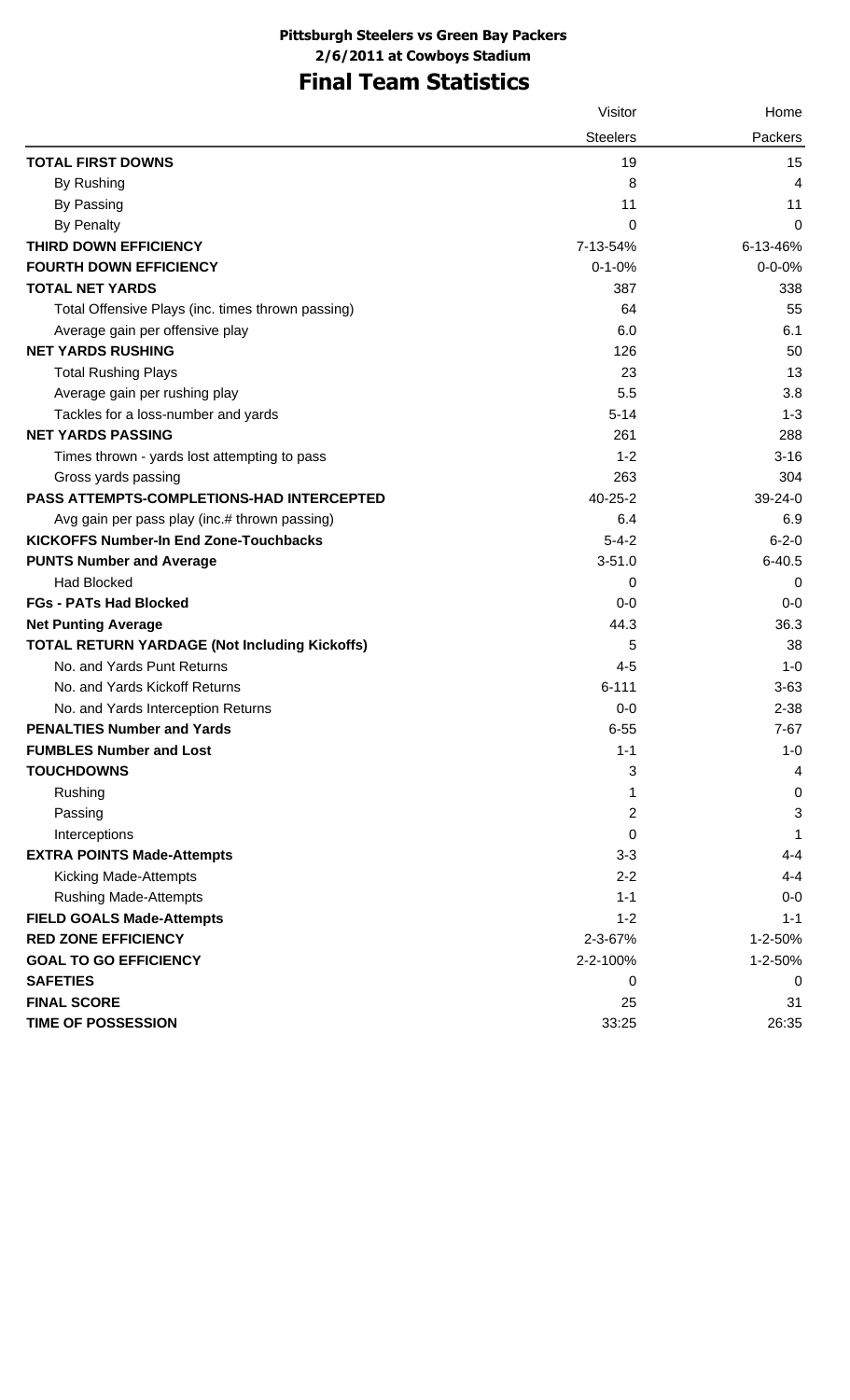# **Final Team Statistics**

|                                                      | Visitor         | Home         |
|------------------------------------------------------|-----------------|--------------|
|                                                      | <b>Steelers</b> | Packers      |
| <b>TOTAL FIRST DOWNS</b>                             | 19              | 15           |
| By Rushing                                           | 8               | 4            |
| By Passing                                           | 11              | 11           |
| <b>By Penalty</b>                                    | 0               | 0            |
| THIRD DOWN EFFICIENCY                                | 7-13-54%        | 6-13-46%     |
| <b>FOURTH DOWN EFFICIENCY</b>                        | $0 - 1 - 0%$    | $0 - 0 - 0%$ |
| <b>TOTAL NET YARDS</b>                               | 387             | 338          |
| Total Offensive Plays (inc. times thrown passing)    | 64              | 55           |
| Average gain per offensive play                      | 6.0             | 6.1          |
| <b>NET YARDS RUSHING</b>                             | 126             | 50           |
| <b>Total Rushing Plays</b>                           | 23              | 13           |
| Average gain per rushing play                        | 5.5             | 3.8          |
| Tackles for a loss-number and yards                  | $5 - 14$        | $1 - 3$      |
| <b>NET YARDS PASSING</b>                             | 261             | 288          |
| Times thrown - yards lost attempting to pass         | $1 - 2$         | $3 - 16$     |
| Gross yards passing                                  | 263             | 304          |
| PASS ATTEMPTS-COMPLETIONS-HAD INTERCEPTED            | $40 - 25 - 2$   | $39-24-0$    |
| Avg gain per pass play (inc.# thrown passing)        | 6.4             | 6.9          |
| <b>KICKOFFS Number-In End Zone-Touchbacks</b>        | $5 - 4 - 2$     | $6 - 2 - 0$  |
| <b>PUNTS Number and Average</b>                      | $3 - 51.0$      | $6 - 40.5$   |
| <b>Had Blocked</b>                                   | 0               | 0            |
| <b>FGs - PATs Had Blocked</b>                        | $0-0$           | $0-0$        |
| <b>Net Punting Average</b>                           | 44.3            | 36.3         |
| <b>TOTAL RETURN YARDAGE (Not Including Kickoffs)</b> | 5               | 38           |
| No. and Yards Punt Returns                           | $4 - 5$         | $1 - 0$      |
| No. and Yards Kickoff Returns                        | $6 - 111$       | $3 - 63$     |
| No. and Yards Interception Returns                   | $0-0$           | $2 - 38$     |
| <b>PENALTIES Number and Yards</b>                    | $6 - 55$        | $7-67$       |
| <b>FUMBLES Number and Lost</b>                       | $1 - 1$         | $1 - 0$      |
| <b>TOUCHDOWNS</b>                                    | 3               | 4            |
| Rushing                                              | 1               | 0            |
| Passing                                              | 2               | 3            |
| Interceptions                                        | 0               | 1            |
| <b>EXTRA POINTS Made-Attempts</b>                    | $3 - 3$         | 4-4          |
| <b>Kicking Made-Attempts</b>                         | $2 - 2$         | 4-4          |
| <b>Rushing Made-Attempts</b>                         | $1 - 1$         | $0-0$        |
| <b>FIELD GOALS Made-Attempts</b>                     | $1 - 2$         | $1 - 1$      |
| <b>RED ZONE EFFICIENCY</b>                           | 2-3-67%         | 1-2-50%      |
| <b>GOAL TO GO EFFICIENCY</b>                         | 2-2-100%        | 1-2-50%      |
| <b>SAFETIES</b>                                      | 0               | 0            |
| <b>FINAL SCORE</b>                                   | 25              | 31           |
| TIME OF POSSESSION                                   | 33:25           | 26:35        |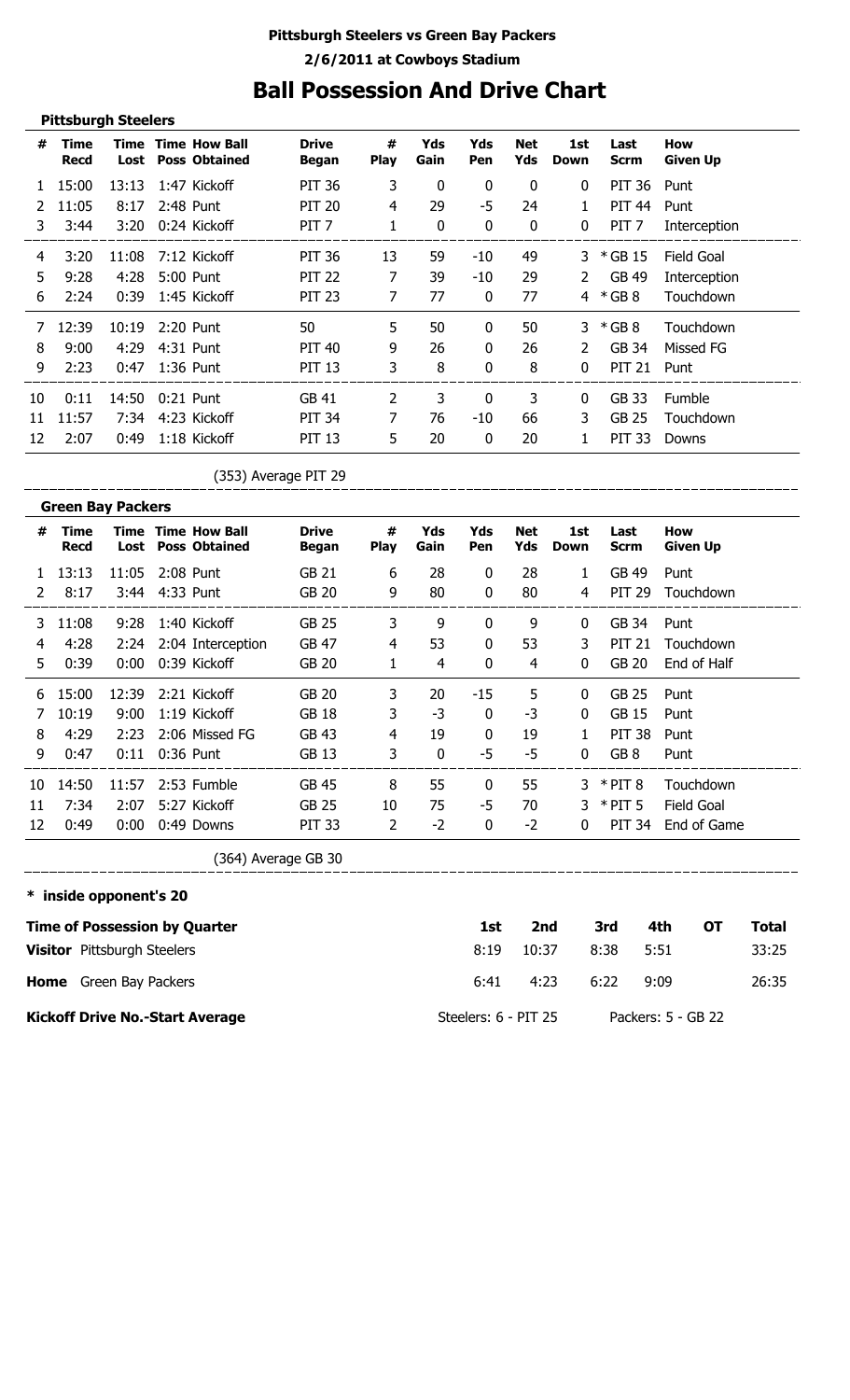## **Ball Possession And Drive Chart**

|    | <b>Pittsburgh Steelers</b> |              |                                              |                              |                  |             |              |                   |              |                     |                               |
|----|----------------------------|--------------|----------------------------------------------|------------------------------|------------------|-------------|--------------|-------------------|--------------|---------------------|-------------------------------|
| #  | Time<br><b>Recd</b>        | Time<br>Lost | <b>Time How Ball</b><br><b>Poss Obtained</b> | <b>Drive</b><br><b>Began</b> | #<br><b>Play</b> | Yds<br>Gain | Yds<br>Pen   | <b>Net</b><br>Yds | 1st<br>Down  | Last<br><b>Scrm</b> | <b>How</b><br><b>Given Up</b> |
|    | 15:00                      | 13:13        | 1:47 Kickoff                                 | <b>PIT 36</b>                | 3                | 0           | 0            | $\mathbf{0}$      | $\mathbf{0}$ | PIT 36              | Punt                          |
|    | 11:05                      | 8:17         | 2:48 Punt                                    | <b>PIT 20</b>                | 4                | 29          | -5           | 24                | 1            | <b>PIT 44</b>       | Punt                          |
| 3. | 3:44                       | 3:20         | 0:24 Kickoff                                 | PIT <sub>7</sub>             | 1                | 0           | 0            | 0                 | 0            | PIT <sub>7</sub>    | Interception                  |
| 4  | 3:20                       | 11:08        | 7:12 Kickoff                                 | <b>PIT 36</b>                | 13               | 59          | -10          | 49                | 3            | * GB 15             | Field Goal                    |
| 5  | 9:28                       | 4:28         | 5:00 Punt                                    | <b>PIT 22</b>                | 7                | 39          | -10          | 29                | 2            | GB 49               | Interception                  |
| 6  | 2:24                       | 0:39         | 1:45 Kickoff                                 | <b>PIT 23</b>                | 7                | 77          | 0            | 77                | 4            | $*$ GB 8            | Touchdown                     |
|    | 12:39                      | 10:19        | 2:20 Punt                                    | 50                           | 5                | 50          | 0            | 50                | 3            | $*$ GB 8            | Touchdown                     |
| 8  | 9:00                       | 4:29         | 4:31 Punt                                    | <b>PIT 40</b>                | 9                | 26          | $\mathbf{0}$ | 26                | 2            | GB 34               | Missed FG                     |
| 9  | 2:23                       | 0:47         | 1:36 Punt                                    | <b>PIT 13</b>                | 3                | 8           | 0            | 8                 | $\Omega$     | <b>PIT 21</b>       | Punt                          |
| 10 | 0:11                       | 14:50        | $0:21$ Punt                                  | GB 41                        | 2                | 3           | 0            | 3                 | $\mathbf{0}$ | GB 33               | Fumble                        |
| 11 | 11:57                      | 7:34         | 4:23 Kickoff                                 | <b>PIT 34</b>                | 7                | 76          | -10          | 66                | 3            | GB 25               | Touchdown                     |
| 12 | 2:07                       | 0:49         | 1:18 Kickoff                                 | <b>PIT 13</b>                | 5                | 20          | 0            | 20                | 1            | <b>PIT 33</b>       | Downs                         |

(353) Average PIT 29

|    | <b>Green Bay Packers</b> |                |           |                                                        |                       |                  |             |              |            |              |                     |                        |
|----|--------------------------|----------------|-----------|--------------------------------------------------------|-----------------------|------------------|-------------|--------------|------------|--------------|---------------------|------------------------|
| #  | Time<br><b>Recd</b>      |                |           | <b>Time Time How Ball</b><br><b>Lost</b> Poss Obtained | <b>Drive</b><br>Began | #<br><b>Play</b> | Yds<br>Gain | Yds<br>Pen   | Net<br>Yds | 1st<br>Down  | Last<br><b>Scrm</b> | How<br><b>Given Up</b> |
|    | 13:13                    | 11:05          | 2:08 Punt |                                                        | GB 21                 | 6                | 28          | $\mathbf{0}$ | 28         | 1            | GB 49               | Punt                   |
| 2  | 8:17                     | 3:44 4:33 Punt |           |                                                        | GB 20                 | 9                | 80          | $\mathbf{0}$ | 80         | 4            | <b>PIT 29</b>       | Touchdown              |
| 3. | 11:08                    | 9:28           |           | 1:40 Kickoff                                           | GB 25                 | 3                | 9           | $\mathbf{0}$ | 9          | $\bf{0}$     | GB 34               | Punt                   |
| 4  | 4:28                     |                |           | 2:24 2:04 Interception                                 | GB 47                 | 4                | 53          | $\mathbf{0}$ | 53         | 3            | <b>PIT 21</b>       | Touchdown              |
| 5. | 0:39                     | 0:00           |           | 0:39 Kickoff                                           | GB 20                 | 1                | 4           | $\mathbf 0$  | 4          | $\mathbf{0}$ | <b>GB 20</b>        | End of Half            |
| 6  | 15:00                    | 12:39          |           | 2:21 Kickoff                                           | GB 20                 | 3                | 20          | -15          | 5          | $\Omega$     | GB 25               | Punt                   |
|    | 10:19                    | 9:00           |           | 1:19 Kickoff                                           | <b>GB 18</b>          | 3                | -3          | $\Omega$     | -3         | $\Omega$     | GB 15               | Punt                   |
| 8  | 4:29                     | 2:23           |           | 2:06 Missed FG                                         | GB 43                 | $\overline{4}$   | 19          | $\Omega$     | 19         | $\mathbf{1}$ | <b>PIT 38</b>       | Punt                   |
| 9  | 0:47                     | 0:11           |           | 0:36 Punt                                              | GB 13                 | 3                | 0           | -5           | $-5$       | $\mathbf{0}$ | GB <sub>8</sub>     | Punt                   |
| 10 | 14:50                    | 11:57          |           | 2:53 Fumble                                            | GB 45                 | 8                | 55          | $\mathbf{0}$ | 55         |              | $3 * PIT 8$         | Touchdown              |
| 11 | 7:34                     | 2:07           |           | 5:27 Kickoff                                           | GB 25                 | 10               | 75          | -5           | 70         | 3.           | $*$ PIT 5           | Field Goal             |
| 12 | 0:49                     | 0:00           |           | 0:49 Downs                                             | <b>PIT 33</b>         | $\overline{2}$   | $-2$        | $\mathbf{0}$ | $-2$       | $\bf{0}$     | PIT 34              | End of Game            |

(364) Average GB 30

**\* inside opponent's 20**

\_\_\_\_\_\_\_\_\_\_\_\_\_\_\_\_\_\_\_\_\_

\_\_\_\_\_\_\_\_\_\_\_\_\_\_\_\_\_\_\_\_

| <b>Time of Possession by Quarter</b>   | 1st                  | 2nd   | 3rd  | 4th                | от | Total |
|----------------------------------------|----------------------|-------|------|--------------------|----|-------|
| <b>Visitor</b> Pittsburgh Steelers     | 8:19                 | 10:37 | 8:38 | 5:51               |    | 33:25 |
| <b>Home</b> Green Bay Packers          | 6:41                 | 4:23  | 6:22 | 9:09               |    | 26:35 |
| <b>Kickoff Drive No.-Start Average</b> | Steelers: 6 - PIT 25 |       |      | Packers: 5 - GB 22 |    |       |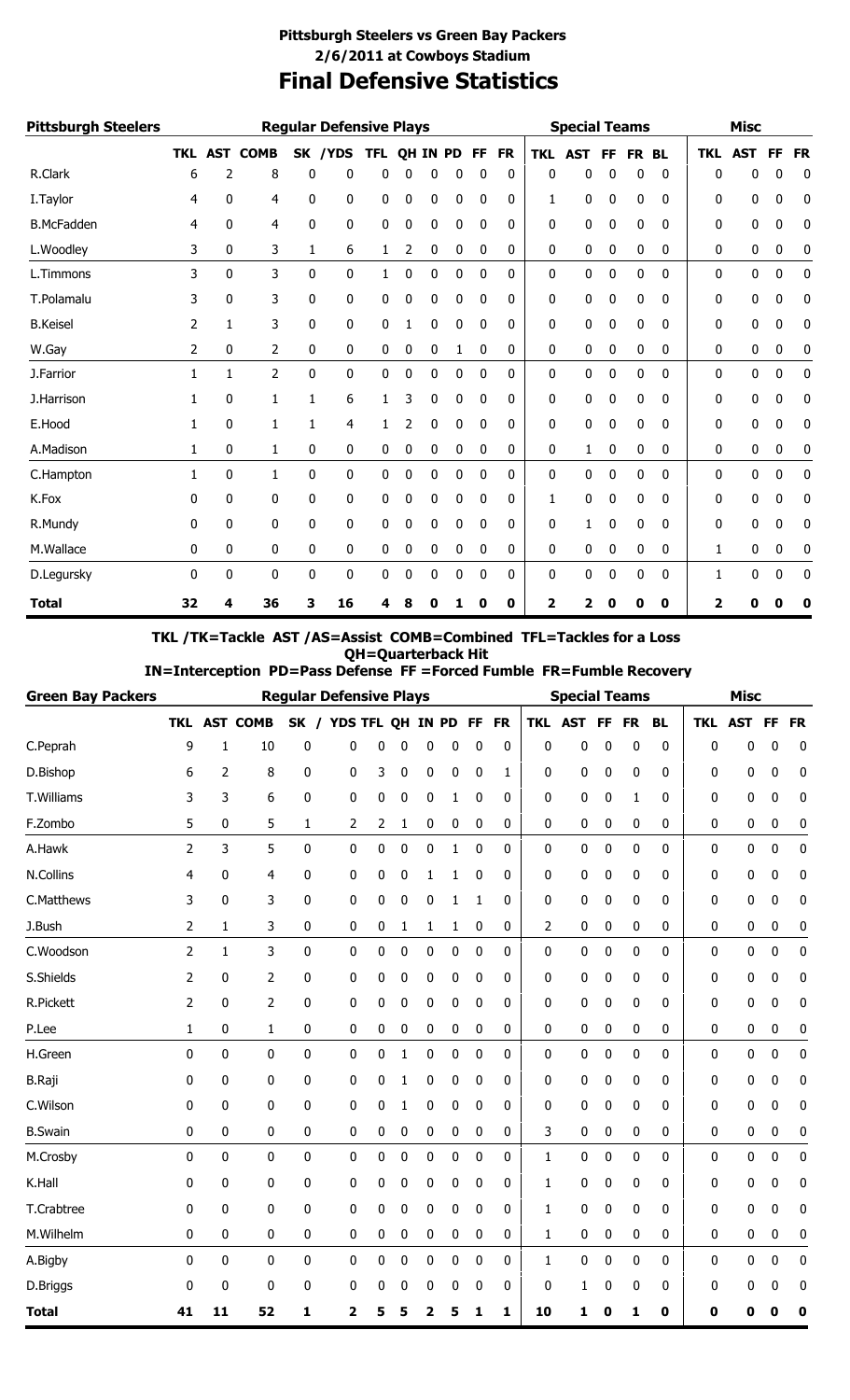## **Final Defensive Statistics Pittsburgh Steelers vs Green Bay Packers 2/6/2011 at Cowboys Stadium**

| <b>Pittsburgh Steelers</b> |    |                |             |   | <b>Regular Defensive Plays</b> |            |    |     |           |              |           |            | <b>Special Teams</b> |     |           |              |            | <b>Misc</b> |           |           |
|----------------------------|----|----------------|-------------|---|--------------------------------|------------|----|-----|-----------|--------------|-----------|------------|----------------------|-----|-----------|--------------|------------|-------------|-----------|-----------|
|                            |    | <b>TKL AST</b> | <b>COMB</b> |   | SK /YDS                        | <b>TFL</b> | QH | IN. | <b>PD</b> | FF           | <b>FR</b> | <b>TKL</b> | <b>AST</b>           | FF. | <b>FR</b> | <b>BL</b>    | <b>TKL</b> | <b>AST</b>  | <b>FF</b> | <b>FR</b> |
| R.Clark                    | 6  | 2              | 8           | 0 | 0                              | 0          | C  | 0   | 0         | 0            | 0         | 0          | 0                    | 0   | 0         | 0            | 0          | 0           | 0         | 0         |
| I. Taylor                  | 4  | 0              | 4           | 0 | 0                              | 0          | 0  | 0   | 0         | 0            | 0         | 1          | 0                    | 0   | 0         | 0            | 0          | 0           | 0         | 0         |
| <b>B.McFadden</b>          | 4  | 0              | 4           | 0 | 0                              | 0          | 0  | 0   | 0         | 0            | 0         | 0          | 0                    | 0   | 0         | 0            | 0          | 0           | 0         | 0         |
| L.Woodley                  | 3  | 0              | 3           | 1 | 6                              | 1          | 2  | 0   | 0         | 0            | 0         | 0          | 0                    | 0   | 0         | 0            | 0          | 0           | 0         | 0         |
| L.Timmons                  | 3  | 0              | 3           | 0 | 0                              | 1          | 0  | 0   | 0         | 0            | 0         | 0          | 0                    | 0   | 0         | 0            | 0          | 0           | 0         | 0         |
| T.Polamalu                 | 3  | 0              | 3           | 0 | 0                              | 0          | 0  | 0   | 0         | 0            | 0         | 0          | 0                    | 0   | 0         | 0            | 0          | 0           | 0         | 0         |
| <b>B.Keisel</b>            | 2  | 1              | 3           | 0 | 0                              | 0          |    | 0   | 0         | $\mathbf{0}$ | 0         | 0          | 0                    | 0   | 0         | $\mathbf{0}$ | 0          | 0           | 0         | 0         |
| W.Gay                      | 2  | 0              | 2           | 0 | 0                              | 0          | 0  | 0   | 1         | $\mathbf 0$  | 0         | 0          | 0                    | 0   | 0         | 0            | 0          | 0           | 0         | 0         |
| J.Farrior                  | 1  | 1              | 2           | 0 | 0                              | 0          | 0  | 0   | 0         | 0            | 0         | 0          | 0                    | 0   | 0         | 0            | 0          | 0           | 0         | 0         |
| J.Harrison                 | 1  | 0              | 1           | 1 | 6                              | 1          | 3  | 0   | 0         | 0            | 0         | 0          | 0                    | 0   | 0         | 0            | 0          | 0           | 0         | 0         |
| E.Hood                     | 1  | 0              | $1\,$       | 1 | 4                              | 1          | 2  | 0   | 0         | 0            | 0         | 0          | 0                    | 0   | 0         | 0            | 0          | 0           | 0         | 0         |
| A.Madison                  | 1  | 0              | 1           | 0 | 0                              | 0          | 0  | 0   | 0         | 0            | 0         | 0          | 1                    | 0   | 0         | 0            | 0          | 0           | 0         | 0         |
| C.Hampton                  | 1  | 0              | 1           | 0 | 0                              | 0          | 0  | 0   | 0         | 0            | 0         | 0          | 0                    | 0   | 0         | 0            | 0          | 0           | 0         | 0         |
| K.Fox                      | 0  | 0              | 0           | 0 | 0                              | 0          | 0  | 0   | 0         | 0            | 0         | 1          | 0                    | 0   | 0         | 0            | 0          | 0           | 0         | 0         |
| R.Mundy                    | 0  | 0              | 0           | 0 | 0                              | 0          | 0  | 0   | 0         | 0            | 0         | 0          | 1                    | 0   | 0         | 0            | 0          | 0           | 0         | 0         |
| M.Wallace                  | 0  | 0              | 0           | 0 | 0                              | 0          | 0  | 0   | 0         | 0            | 0         | 0          | 0                    | 0   | 0         | 0            | 1          | 0           | 0         | 0         |
| D.Legursky                 | 0  | 0              | 0           | 0 | 0                              | 0          | 0  | 0   | 0         | 0            | 0         | 0          | 0                    | 0   | 0         | 0            | 1          | 0           | 0         | 0         |
| <b>Total</b>               | 32 | 4              | 36          | 3 | 16                             | 4          | 8  | 0   | 1         | 0            | 0         | 2          | 2                    | 0   | 0         | 0            | 2          | O           | 0         | 0         |

### **TKL /TK=Tackle AST /AS=Assist COMB=Combined TFL=Tackles for a Loss QH=Quarterback Hit**

 **IN=Interception PD=Pass Defense FF =Forced Fumble FR=Fumble Recovery**

| <b>Green Bay Packers</b> |            |     |             | <b>Regular Defensive Plays</b> |            |        |    |           |    |           |     | <b>Special Teams</b> |           |           |           |              | <b>Misc</b> |          |           |
|--------------------------|------------|-----|-------------|--------------------------------|------------|--------|----|-----------|----|-----------|-----|----------------------|-----------|-----------|-----------|--------------|-------------|----------|-----------|
|                          | <b>TKL</b> | AST | <b>COMB</b> | SK /                           | YDS TFL QH |        | IN | <b>PD</b> | FF | <b>FR</b> | TKL | <b>AST</b>           | <b>FF</b> | <b>FR</b> | <b>BL</b> | <b>TKL</b>   | AST         | FF       | <b>FR</b> |
| C.Peprah                 | 9          | 1   | 10          | 0                              | 0          | 0<br>0 | 0  | 0         | 0  | 0         | 0   | 0                    | 0         | 0         | 0         | $\mathbf{0}$ | 0           | 0        | 0         |
| D.Bishop                 | 6          | 2   | 8           | 0                              | 0          | 3<br>0 | 0  | 0         | 0  | 1         | 0   | 0                    | 0         | 0         | 0         | 0            | 0           | 0        | 0         |
| T.Williams               | 3          | 3   | 6           | 0                              | 0          | 0<br>0 | 0  | 1         | 0  | 0         | 0   | 0                    | 0         | 1         | 0         | 0            | 0           | 0        | 0         |
| F.Zombo                  | 5          | 0   | 5           | 1                              | 2          | 2<br>1 | 0  | 0         | 0  | 0         | 0   | 0                    | 0         | 0         | 0         | 0            | 0           | 0        | 0         |
| A.Hawk                   | 2          | 3   | 5           | 0                              | 0          | 0<br>0 | 0  | 1         | 0  | 0         | 0   | 0                    | 0         | 0         | 0         | 0            | 0           | 0        | 0         |
| N.Collins                | 4          | 0   | 4           | 0                              | 0          | 0<br>0 | 1  | 1         | 0  | 0         | 0   | 0                    | 0         | 0         | 0         | 0            | 0           | 0        | 0         |
| C.Matthews               | 3          | 0   | 3           | 0                              | 0          | 0<br>0 | 0  | 1         | 1  | 0         | 0   | 0                    | 0         | 0         | 0         | 0            | 0           | 0        | 0         |
| J.Bush                   | 2          | 1   | 3           | 0                              | 0          | 0<br>1 | 1  | 1         | 0  | 0         | 2   | 0                    | 0         | 0         | 0         | 0            | 0           | $\bf{0}$ | 0         |
| C.Woodson                | 2          | 1   | 3           | 0                              | 0          | 0<br>0 | 0  | 0         | 0  | 0         | 0   | 0                    | 0         | 0         | 0         | 0            | 0           | 0        | 0         |
| S.Shields                | 2          | 0   | 2           | 0                              | 0          | 0<br>0 | 0  | 0         | 0  | 0         | 0   | 0                    | 0         | 0         | 0         | 0            | 0           | 0        | 0         |
| <b>R.Pickett</b>         | 2          | 0   | 2           | 0                              | 0          | 0<br>0 | 0  | 0         | 0  | 0         | 0   | 0                    | 0         | 0         | 0         | 0            | 0           | 0        | 0         |
| P.Lee                    | 1          | 0   | 1           | 0                              | 0          | 0<br>0 | 0  | 0         | 0  | 0         | 0   | 0                    | 0         | 0         | 0         | 0            | 0           | 0        | 0         |
| H.Green                  | 0          | 0   | 0           | 0                              | 0          | 0<br>1 | 0  | 0         | 0  | 0         | 0   | 0                    | 0         | 0         | 0         | 0            | 0           | 0        | 0         |
| <b>B.Raji</b>            | 0          | 0   | 0           | 0                              | 0          | 0<br>1 | 0  | 0         | 0  | 0         | 0   | 0                    | 0         | 0         | 0         | 0            | 0           | 0        | 0         |
| C.Wilson                 | 0          | 0   | 0           | 0                              | 0          | 0<br>1 | 0  | 0         | 0  | 0         | 0   | 0                    | 0         | 0         | 0         | 0            | 0           | 0        | 0         |
| <b>B.Swain</b>           | 0          | 0   | 0           | 0                              | 0          | 0<br>0 | 0  | 0         | 0  | 0         | 3   | 0                    | 0         | 0         | 0         | 0            | 0           | 0        | 0         |
| M.Crosby                 | 0          | 0   | 0           | 0                              | 0          | 0<br>0 | 0  | 0         | 0  | 0         | 1   | 0                    | 0         | 0         | 0         | 0            | 0           | 0        | 0         |
| K.Hall                   | 0          | 0   | 0           | 0                              | 0          | 0<br>0 | 0  | 0         | 0  | 0         | 1   | 0                    | 0         | 0         | 0         | 0            | 0           | 0        | 0         |
| T.Crabtree               | 0          | 0   | 0           | 0                              | 0          | 0<br>0 | 0  | 0         | 0  | 0         | 1   | 0                    | 0         | 0         | 0         | 0            | 0           | 0        | 0         |
| M.Wilhelm                | 0          | 0   | 0           | 0                              | 0          | 0<br>0 | 0  | 0         | 0  | 0         | 1   | 0                    | 0         | 0         | 0         | 0            | 0           | 0        | 0         |
| A.Bigby                  | 0          | 0   | 0           | 0                              | 0          | 0<br>0 | 0  | 0         | 0  | 0         | 1   | 0                    | 0         | 0         | 0         | 0            | 0           | 0        | 0         |
| D.Briggs                 | 0          | 0   | 0           | 0                              | 0          | 0<br>0 | 0  | 0         | 0  | 0         | 0   | 1                    | 0         | 0         | 0         | 0            | 0           | 0        | 0         |
| <b>Total</b>             | 41         | 11  | 52          | 1                              | 2          | 5<br>5 | 2  | 5         | 1  | 1         | 10  | 1                    | 0         | 1         | 0         | 0            | 0           | 0        | 0         |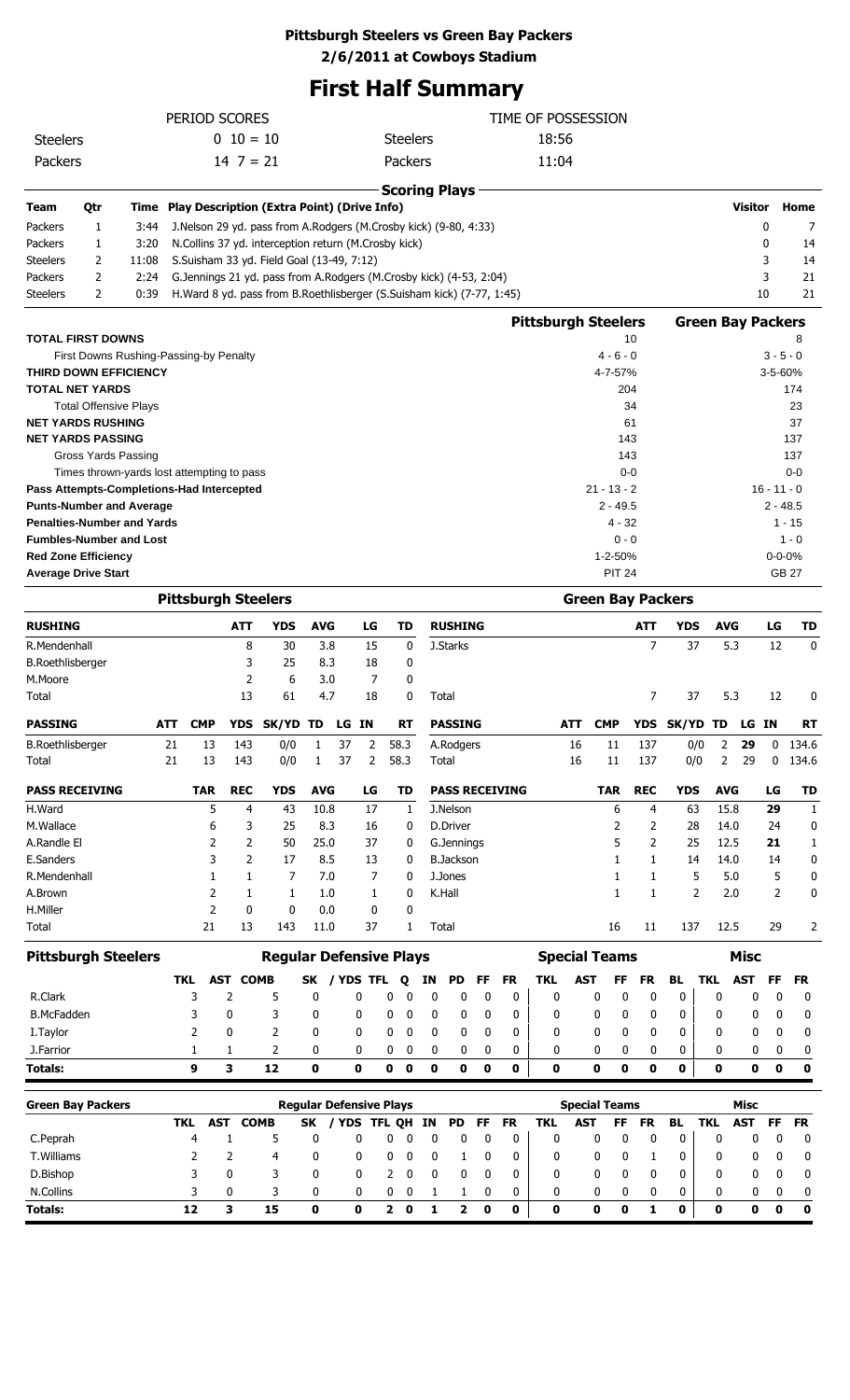### **Pittsburgh Steelers vs Green Bay Packers**

**2/6/2011 at Cowboys Stadium**

## **First Half Summary**

|                                           |                                                                   |              |            |                | PERIOD SCORES |                                                                                                                          |             |    |                |                                |          |                                |             |                       | TIME OF POSSESSION         |            |                      |                |                          |                          |              |               |                   |
|-------------------------------------------|-------------------------------------------------------------------|--------------|------------|----------------|---------------|--------------------------------------------------------------------------------------------------------------------------|-------------|----|----------------|--------------------------------|----------|--------------------------------|-------------|-----------------------|----------------------------|------------|----------------------|----------------|--------------------------|--------------------------|--------------|---------------|-------------------|
| <b>Steelers</b>                           |                                                                   |              |            |                | $0\ 10=10$    |                                                                                                                          |             |    |                | <b>Steelers</b>                |          |                                |             |                       | 18:56                      |            |                      |                |                          |                          |              |               |                   |
| Packers                                   |                                                                   |              |            |                | $14 \ 7 = 21$ |                                                                                                                          |             |    |                | Packers                        |          |                                |             |                       | 11:04                      |            |                      |                |                          |                          |              |               |                   |
|                                           |                                                                   |              |            |                |               |                                                                                                                          |             |    |                |                                |          |                                |             |                       |                            |            |                      |                |                          |                          |              |               |                   |
| <b>Team</b>                               |                                                                   |              |            |                |               | <b>Play Description (Extra Point) (Drive Info)</b>                                                                       |             |    |                |                                |          | <b>Scoring Plays</b>           |             |                       |                            |            |                      |                |                          |                          | Visitor      |               | Home              |
|                                           | Qtr                                                               | Time         |            |                |               |                                                                                                                          |             |    |                |                                |          |                                |             |                       |                            |            |                      |                |                          |                          | $\mathbf 0$  |               |                   |
| Packers<br>Packers                        | 1<br>1                                                            | 3:44<br>3:20 |            |                |               | J.Nelson 29 yd. pass from A.Rodgers (M.Crosby kick) (9-80, 4:33)<br>N.Collins 37 yd. interception return (M.Crosby kick) |             |    |                |                                |          |                                |             |                       |                            |            |                      |                |                          |                          | $\mathbf{0}$ |               | 7<br>14           |
| <b>Steelers</b>                           | 2                                                                 | 11:08        |            |                |               | S.Suisham 33 yd. Field Goal (13-49, 7:12)                                                                                |             |    |                |                                |          |                                |             |                       |                            |            |                      |                |                          |                          | 3            |               | 14                |
| Packers                                   | 2                                                                 | 2:24         |            |                |               | G.Jennings 21 yd. pass from A.Rodgers (M.Crosby kick) (4-53, 2:04)                                                       |             |    |                |                                |          |                                |             |                       |                            |            |                      |                |                          |                          | 3            |               | 21                |
| <b>Steelers</b>                           | $\overline{2}$                                                    | 0:39         |            |                |               | H.Ward 8 yd. pass from B.Roethlisberger (S.Suisham kick) (7-77, 1:45)                                                    |             |    |                |                                |          |                                |             |                       |                            |            |                      |                |                          |                          | 10           |               | 21                |
|                                           |                                                                   |              |            |                |               |                                                                                                                          |             |    |                |                                |          |                                |             |                       |                            |            |                      |                |                          |                          |              |               |                   |
| <b>TOTAL FIRST DOWNS</b>                  |                                                                   |              |            |                |               |                                                                                                                          |             |    |                |                                |          |                                |             |                       | <b>Pittsburgh Steelers</b> |            |                      | 10             |                          | <b>Green Bay Packers</b> |              |               | 8                 |
|                                           | First Downs Rushing-Passing-by Penalty                            |              |            |                |               |                                                                                                                          |             |    |                |                                |          |                                |             |                       |                            |            | $4 - 6 - 0$          |                |                          |                          |              | $3 - 5 - 0$   |                   |
| <b>THIRD DOWN EFFICIENCY</b>              |                                                                   |              |            |                |               |                                                                                                                          |             |    |                |                                |          |                                |             |                       |                            |            | 4-7-57%              |                |                          |                          |              | 3-5-60%       |                   |
| <b>TOTAL NET YARDS</b>                    |                                                                   |              |            |                |               |                                                                                                                          |             |    |                |                                |          |                                |             |                       |                            |            |                      | 204            |                          |                          |              |               | 174               |
|                                           | <b>Total Offensive Plays</b>                                      |              |            |                |               |                                                                                                                          |             |    |                |                                |          |                                |             |                       |                            |            |                      | 34             |                          |                          |              |               | 23                |
| <b>NET YARDS RUSHING</b>                  |                                                                   |              |            |                |               |                                                                                                                          |             |    |                |                                |          |                                |             |                       |                            |            |                      | 61             |                          |                          |              |               | 37                |
| <b>NET YARDS PASSING</b>                  |                                                                   |              |            |                |               |                                                                                                                          |             |    |                |                                |          |                                |             |                       |                            |            |                      | 143            |                          |                          |              |               | 137<br>137        |
|                                           | Gross Yards Passing<br>Times thrown-yards lost attempting to pass |              |            |                |               |                                                                                                                          |             |    |                |                                |          |                                |             |                       |                            |            |                      | 143<br>$0 - 0$ |                          |                          |              |               | $0 - 0$           |
| Pass Attempts-Completions-Had Intercepted |                                                                   |              |            |                |               |                                                                                                                          |             |    |                |                                |          |                                |             |                       |                            |            | $21 - 13 - 2$        |                |                          |                          |              | $16 - 11 - 0$ |                   |
| <b>Punts-Number and Average</b>           |                                                                   |              |            |                |               |                                                                                                                          |             |    |                |                                |          |                                |             |                       |                            |            | $2 - 49.5$           |                |                          |                          |              | $2 - 48.5$    |                   |
| <b>Penalties-Number and Yards</b>         |                                                                   |              |            |                |               |                                                                                                                          |             |    |                |                                |          |                                |             |                       |                            |            | $4 - 32$             |                |                          |                          |              | $1 - 15$      |                   |
| <b>Fumbles-Number and Lost</b>            |                                                                   |              |            |                |               |                                                                                                                          |             |    |                |                                |          |                                |             |                       |                            |            | $0 - 0$              |                |                          |                          |              |               | $1 - 0$           |
| <b>Red Zone Efficiency</b>                |                                                                   |              |            |                |               |                                                                                                                          |             |    |                |                                |          |                                |             |                       |                            |            | 1-2-50%              |                |                          |                          |              | $0 - 0 - 0%$  |                   |
| <b>Average Drive Start</b>                |                                                                   |              |            |                |               |                                                                                                                          |             |    |                |                                |          |                                |             |                       |                            |            | <b>PIT 24</b>        |                |                          |                          |              | <b>GB 27</b>  |                   |
|                                           |                                                                   |              |            |                |               | <b>Pittsburgh Steelers</b>                                                                                               |             |    |                |                                |          |                                |             |                       |                            |            |                      |                | <b>Green Bay Packers</b> |                          |              |               |                   |
|                                           |                                                                   |              |            |                |               |                                                                                                                          |             |    |                |                                |          |                                |             |                       |                            |            |                      |                |                          |                          |              |               |                   |
| <b>RUSHING</b>                            |                                                                   |              |            |                | <b>ATT</b>    | <b>YDS</b>                                                                                                               | <b>AVG</b>  |    | LG             | TD                             |          | <b>RUSHING</b>                 |             |                       |                            |            |                      | <b>ATT</b>     | <b>YDS</b>               | <b>AVG</b>               |              | LG            | TD                |
| R.Mendenhall                              |                                                                   |              |            |                | 8             | 30                                                                                                                       | 3.8         |    | 15             | 0                              |          | J.Starks                       |             |                       |                            |            |                      | $\overline{7}$ | 37                       | 5.3                      |              | 12            | $\mathbf 0$       |
| <b>B.Roethlisberger</b>                   |                                                                   |              |            |                | 3             | 25                                                                                                                       | 8.3         |    | 18             | 0                              |          |                                |             |                       |                            |            |                      |                |                          |                          |              |               |                   |
| M.Moore                                   |                                                                   |              |            |                | 2<br>13       | 6<br>61                                                                                                                  | 3.0<br>4.7  |    | 7<br>18        | 0<br>0                         |          | Total                          |             |                       |                            |            |                      | 7              |                          |                          |              |               | 0                 |
| Total                                     |                                                                   |              |            |                |               |                                                                                                                          |             |    |                |                                |          |                                |             |                       |                            |            |                      |                | 37                       | 5.3                      |              | 12            |                   |
| <b>PASSING</b>                            |                                                                   |              | <b>ATT</b> | <b>CMP</b>     | <b>YDS</b>    | SK/YD TD                                                                                                                 |             | LG | - IN           | RT                             |          | <b>PASSING</b>                 |             |                       |                            | <b>ATT</b> | <b>CMP</b>           | <b>YDS</b>     | SK/YD TD                 |                          | LG IN        |               | RT                |
| <b>B.Roethlisberger</b>                   |                                                                   |              | 21         | 13             | 143           | 0/0                                                                                                                      | 1           | 37 | $\overline{2}$ | 58.3                           |          | A.Rodgers                      |             |                       |                            | 16         | 11                   | 137            | 0/0                      | 2                        | 29           | 0             | 134.6             |
| Total                                     |                                                                   |              | 21         | 13             | 143           | 0/0                                                                                                                      | 1           | 37 | 2              | 58.3                           |          | Total                          |             |                       |                            | 16         | 11                   | 137            | 0/0                      | 2                        | 29           | 0             | 134.6             |
| <b>PASS RECEIVING</b>                     |                                                                   |              |            | TAR            | <b>REC</b>    | <b>YDS</b>                                                                                                               | <b>AVG</b>  |    | LG             | TD                             |          |                                |             | <b>PASS RECEIVING</b> |                            |            | <b>TAR</b>           | <b>REC</b>     | <b>YDS</b>               | <b>AVG</b>               |              | LG            | <b>TD</b>         |
|                                           |                                                                   |              |            |                |               |                                                                                                                          |             |    |                |                                |          |                                |             |                       |                            |            |                      |                |                          |                          |              |               |                   |
| H.Ward                                    |                                                                   |              |            | 5              | 4             | 43                                                                                                                       | 10.8        |    | 17             | 1                              |          | J.Nelson                       |             |                       |                            |            | 6                    | 4              | 63                       | 15.8                     |              | 29            | $\mathbf{1}$      |
| M.Wallace<br>A.Randle El                  |                                                                   |              |            | 6<br>2         | 3<br>2        | 25                                                                                                                       | 8.3         |    | 16             | 0                              |          | D.Driver                       |             |                       |                            |            | 2<br>5               | 2<br>2         | 28                       | 14.0                     |              | 24            | 0                 |
| E.Sanders                                 |                                                                   |              |            | 3              | 2             | 50<br>17                                                                                                                 | 25.0<br>8.5 |    | 37<br>13       | 0<br>0                         |          | G.Jennings<br><b>B.Jackson</b> |             |                       |                            |            | 1                    | 1              | 25<br>14                 | 12.5<br>14.0             |              | 21<br>14      | $\mathbf{1}$<br>0 |
| R.Mendenhall                              |                                                                   |              |            | $\mathbf{1}$   | 1             | 7                                                                                                                        | 7.0         |    | 7              | 0                              |          | J.Jones                        |             |                       |                            |            | 1                    | 1              | 5                        | 5.0                      |              | 5             | 0                 |
| A.Brown                                   |                                                                   |              |            | 2              | 1             | 1                                                                                                                        | 1.0         |    | 1              | 0                              |          | K.Hall                         |             |                       |                            |            | $\mathbf{1}$         | $\mathbf{1}$   | $\overline{2}$           | 2.0                      |              | 2             | 0                 |
| H.Miller                                  |                                                                   |              |            | $\overline{2}$ | 0             | 0                                                                                                                        | 0.0         |    | 0              | 0                              |          |                                |             |                       |                            |            |                      |                |                          |                          |              |               |                   |
| <b>Total</b>                              |                                                                   |              |            | 21             | 13            | 143                                                                                                                      | 11.0        |    | 37             | 1                              |          | Total                          |             |                       |                            |            | 16                   | 11             | 137                      | 12.5                     |              | 29            | 2                 |
|                                           |                                                                   |              |            |                |               |                                                                                                                          |             |    |                |                                |          |                                |             |                       |                            |            |                      |                |                          |                          |              |               |                   |
| <b>Pittsburgh Steelers</b>                |                                                                   |              |            |                |               | <b>Regular Defensive Plays</b>                                                                                           |             |    |                |                                |          |                                |             |                       | <b>Special Teams</b>       |            |                      |                |                          |                          | <b>Misc</b>  |               |                   |
|                                           |                                                                   |              | TKL        | AST            | <b>COMB</b>   |                                                                                                                          | SK          |    | / YDS TFL      | Q                              | ΙN       | PD                             | FF          | FR                    | <b>TKL</b>                 | AST        | FF                   | <b>FR</b>      | BL                       | TKL                      | AST          | FF            | FR                |
| R.Clark                                   |                                                                   |              |            | 3              | 2             | 5                                                                                                                        | 0           |    | 0              | 0<br>0                         | 0        | 0                              | 0           | 0                     | 0                          | 0          | 0                    | 0              | 0                        | 0                        | 0            | 0             | 0                 |
| <b>B.McFadden</b>                         |                                                                   |              |            | 3              | 0             | 3                                                                                                                        | 0           |    | 0              | 0<br>0                         | 0        | 0                              | 0           | 0                     | 0                          | 0          | 0                    | 0              | 0                        | 0                        | 0            | 0             | 0                 |
| I. Taylor                                 |                                                                   |              |            | 2              | 0             | 2                                                                                                                        | 0           |    | 0              | 0<br>0                         | 0        | 0                              | 0           | 0                     | 0                          | 0          | 0                    | 0              | 0                        | 0                        | 0            | 0             | 0                 |
| J.Farrior                                 |                                                                   |              |            | 1              | 1             | 2                                                                                                                        | 0           |    | 0              | 0<br>0                         | 0        | 0                              | 0           | 0                     | 0                          |            | 0<br>0               | 0              | 0                        | 0                        | 0            | 0             | 0                 |
| <b>Totals:</b>                            |                                                                   |              |            | 9              | 3             | 12                                                                                                                       | 0           |    | $\bf{0}$       | $\mathbf 0$<br>0               | $\bf{0}$ | $\bf{0}$                       | $\mathbf 0$ | 0                     | 0                          | 0          | $\bf{0}$             | 0              | 0                        | $\bf{0}$                 | $\mathbf 0$  | $\mathbf 0$   | $\bf{0}$          |
| <b>Green Bay Packers</b>                  |                                                                   |              |            |                |               |                                                                                                                          |             |    |                | <b>Regular Defensive Plays</b> |          |                                |             |                       |                            |            | <b>Special Teams</b> |                |                          |                          | <b>Misc</b>  |               |                   |
|                                           |                                                                   |              | <b>TKL</b> | <b>AST</b>     | <b>COMB</b>   |                                                                                                                          | SK          |    |                | / YDS TFL QH                   | IN       | <b>PD</b>                      | FF          | <b>FR</b>             | <b>TKL</b>                 | <b>AST</b> | FF                   | <b>FR</b>      | <b>BL</b>                | <b>TKL</b>               | <b>AST</b>   | <b>FF</b>     | <b>FR</b>         |
| C.Peprah                                  |                                                                   |              |            | 4              | 1             | 5                                                                                                                        | 0           |    | 0              | 0<br>0                         | 0        | 0                              | 0           | 0                     | 0                          | 0          | 0                    | 0              | $\mathbf 0$              | 0                        | 0            | 0             | 0                 |
| T.Williams                                |                                                                   |              |            | 2              | 2             | 4                                                                                                                        | 0           |    | 0              | 0<br>0                         | 0        | 1                              | 0           | 0                     | 0                          | 0          | 0                    | 1              | 0                        | 0                        | 0            | 0             | 0                 |
| D.Bishop                                  |                                                                   |              |            | 3              | 0             | 3                                                                                                                        | 0           |    | 0              | 2<br>0                         | 0        | 0                              | 0           | 0                     | 0                          | 0          | 0                    | 0              | 0                        | 0                        | 0            | 0             | 0                 |
| N.Collins                                 |                                                                   |              |            | 3              | 0             | 3                                                                                                                        | 0           |    | 0              | 0<br>0                         | 1        | 1                              | 0           | 0                     | 0                          |            | 0<br>0               | 0              | 0                        | 0                        | 0            | 0             | 0                 |
| <b>Totals:</b>                            |                                                                   |              | 12         |                | 3             | 15                                                                                                                       | 0           |    | $\mathbf 0$    | 2 <sub>0</sub>                 | 1        | 2                              | $\bf{0}$    | 0                     | 0                          | 0          | $\mathbf 0$          | 1              | 0                        | $\bf{0}$                 | 0            | $\mathbf 0$   | $\mathbf 0$       |
|                                           |                                                                   |              |            |                |               |                                                                                                                          |             |    |                |                                |          |                                |             |                       |                            |            |                      |                |                          |                          |              |               |                   |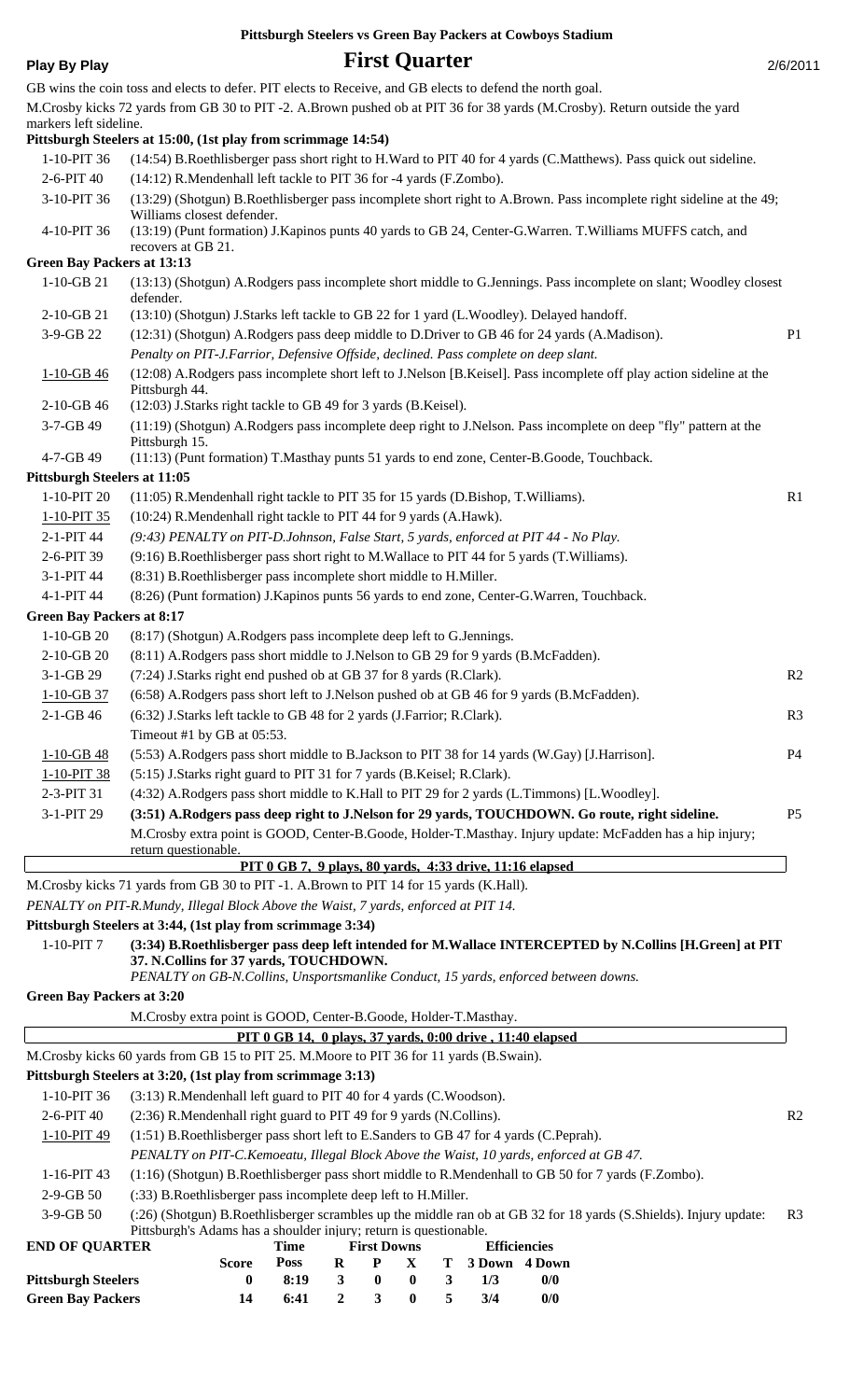| <b>Play By Play</b>                              |                                                                                                           |                                                           |                | <b>First Quarter</b>    |           |              |                                      |                                                                                                                            | 2/6/2011       |
|--------------------------------------------------|-----------------------------------------------------------------------------------------------------------|-----------------------------------------------------------|----------------|-------------------------|-----------|--------------|--------------------------------------|----------------------------------------------------------------------------------------------------------------------------|----------------|
|                                                  | GB wins the coin toss and elects to defer. PIT elects to Receive, and GB elects to defend the north goal. |                                                           |                |                         |           |              |                                      |                                                                                                                            |                |
|                                                  |                                                                                                           |                                                           |                |                         |           |              |                                      | M.Crosby kicks 72 yards from GB 30 to PIT -2. A.Brown pushed ob at PIT 36 for 38 yards (M.Crosby). Return outside the yard |                |
| markers left sideline.                           |                                                                                                           |                                                           |                |                         |           |              |                                      |                                                                                                                            |                |
|                                                  | Pittsburgh Steelers at 15:00, (1st play from scrimmage 14:54)                                             |                                                           |                |                         |           |              |                                      |                                                                                                                            |                |
| $1-10-PIT36$<br>2-6-PIT 40                       | (14:12) R.Mendenhall left tackle to PIT 36 for -4 yards (F.Zombo).                                        |                                                           |                |                         |           |              |                                      | (14:54) B.Roethlisberger pass short right to H.Ward to PIT 40 for 4 yards (C.Matthews). Pass quick out sideline.           |                |
| 3-10-PIT 36                                      |                                                                                                           |                                                           |                |                         |           |              |                                      | (13:29) (Shotgun) B.Roethlisberger pass incomplete short right to A.Brown. Pass incomplete right sideline at the 49;       |                |
| 4-10-PIT 36                                      | Williams closest defender.                                                                                |                                                           |                |                         |           |              |                                      | (13:19) (Punt formation) J. Kapinos punts 40 yards to GB 24, Center-G. Warren. T. Williams MUFFS catch, and                |                |
|                                                  | recovers at GB 21.                                                                                        |                                                           |                |                         |           |              |                                      |                                                                                                                            |                |
| <b>Green Bay Packers at 13:13</b>                |                                                                                                           |                                                           |                |                         |           |              |                                      |                                                                                                                            |                |
| $1-10-GB21$                                      | defender.                                                                                                 |                                                           |                |                         |           |              |                                      | (13:13) (Shotgun) A.Rodgers pass incomplete short middle to G.Jennings. Pass incomplete on slant; Woodley closest          |                |
| 2-10-GB 21                                       | (13:10) (Shotgun) J.Starks left tackle to GB 22 for 1 yard (L.Woodley). Delayed handoff.                  |                                                           |                |                         |           |              |                                      |                                                                                                                            |                |
| 3-9-GB 22                                        | (12:31) (Shotgun) A.Rodgers pass deep middle to D.Driver to GB 46 for 24 yards (A.Madison).               |                                                           |                |                         |           |              |                                      |                                                                                                                            | P <sub>1</sub> |
|                                                  | Penalty on PIT-J.Farrior, Defensive Offside, declined. Pass complete on deep slant.                       |                                                           |                |                         |           |              |                                      |                                                                                                                            |                |
| $1-10-GB46$                                      | Pittsburgh 44.                                                                                            |                                                           |                |                         |           |              |                                      | (12:08) A.Rodgers pass incomplete short left to J.Nelson [B.Keisel]. Pass incomplete off play action sideline at the       |                |
| 2-10-GB 46                                       | (12:03) J.Starks right tackle to GB 49 for 3 yards (B.Keisel).                                            |                                                           |                |                         |           |              |                                      |                                                                                                                            |                |
| 3-7-GB 49                                        | Pittsburgh 15.                                                                                            |                                                           |                |                         |           |              |                                      | (11:19) (Shotgun) A.Rodgers pass incomplete deep right to J.Nelson. Pass incomplete on deep "fly" pattern at the           |                |
| 4-7-GB 49                                        | (11:13) (Punt formation) T.Masthay punts 51 yards to end zone, Center-B.Goode, Touchback.                 |                                                           |                |                         |           |              |                                      |                                                                                                                            |                |
| <b>Pittsburgh Steelers at 11:05</b>              |                                                                                                           |                                                           |                |                         |           |              |                                      |                                                                                                                            |                |
| 1-10-PIT 20                                      | (11:05) R.Mendenhall right tackle to PIT 35 for 15 yards (D.Bishop, T.Williams).                          |                                                           |                |                         |           |              |                                      |                                                                                                                            | R <sub>1</sub> |
| 1-10-PIT 35                                      | (10:24) R.Mendenhall right tackle to PIT 44 for 9 yards (A.Hawk).                                         |                                                           |                |                         |           |              |                                      |                                                                                                                            |                |
| 2-1-PIT 44                                       | (9:43) PENALTY on PIT-D.Johnson, False Start, 5 yards, enforced at PIT 44 - No Play.                      |                                                           |                |                         |           |              |                                      |                                                                                                                            |                |
| 2-6-PIT 39                                       | (9:16) B.Roethlisberger pass short right to M.Wallace to PIT 44 for 5 yards (T.Williams).                 |                                                           |                |                         |           |              |                                      |                                                                                                                            |                |
| 3-1-PIT 44                                       | (8:31) B.Roethlisberger pass incomplete short middle to H.Miller.                                         |                                                           |                |                         |           |              |                                      |                                                                                                                            |                |
| 4-1-PIT 44                                       | (8:26) (Punt formation) J. Kapinos punts 56 yards to end zone, Center-G. Warren, Touchback.               |                                                           |                |                         |           |              |                                      |                                                                                                                            |                |
| <b>Green Bay Packers at 8:17</b><br>$1-10-GB$ 20 | (8:17) (Shotgun) A.Rodgers pass incomplete deep left to G.Jennings.                                       |                                                           |                |                         |           |              |                                      |                                                                                                                            |                |
| 2-10-GB 20                                       | (8:11) A.Rodgers pass short middle to J.Nelson to GB 29 for 9 yards (B.McFadden).                         |                                                           |                |                         |           |              |                                      |                                                                                                                            |                |
| 3-1-GB 29                                        | (7:24) J.Starks right end pushed ob at GB 37 for 8 yards (R.Clark).                                       |                                                           |                |                         |           |              |                                      |                                                                                                                            | R <sub>2</sub> |
| $1-10-GB$ 37                                     | (6:58) A.Rodgers pass short left to J.Nelson pushed ob at GB 46 for 9 yards (B.McFadden).                 |                                                           |                |                         |           |              |                                      |                                                                                                                            |                |
| 2-1-GB 46                                        | (6:32) J.Starks left tackle to GB 48 for 2 yards (J.Farrior; R.Clark).                                    |                                                           |                |                         |           |              |                                      |                                                                                                                            | R <sub>3</sub> |
|                                                  | Timeout #1 by GB at 05:53.                                                                                |                                                           |                |                         |           |              |                                      |                                                                                                                            |                |
| $1 - 10 - GB - 48$                               | (5:53) A.Rodgers pass short middle to B.Jackson to PIT 38 for 14 yards (W.Gay) [J.Harrison].              |                                                           |                |                         |           |              |                                      |                                                                                                                            | P <sub>4</sub> |
| 1-10-PIT 38                                      | (5:15) J.Starks right guard to PIT 31 for 7 yards (B.Keisel; R.Clark).                                    |                                                           |                |                         |           |              |                                      |                                                                                                                            |                |
| 2-3-PIT 31                                       | (4:32) A.Rodgers pass short middle to K.Hall to PIT 29 for 2 yards (L.Timmons) [L.Woodley].               |                                                           |                |                         |           |              |                                      |                                                                                                                            |                |
| 3-1-PIT 29                                       |                                                                                                           |                                                           |                |                         |           |              |                                      | (3:51) A.Rodgers pass deep right to J.Nelson for 29 yards, TOUCHDOWN. Go route, right sideline.                            | P <sub>5</sub> |
|                                                  | return questionable.                                                                                      |                                                           |                |                         |           |              |                                      | M.Crosby extra point is GOOD, Center-B.Goode, Holder-T.Masthay. Injury update: McFadden has a hip injury;                  |                |
|                                                  |                                                                                                           | PIT 0 GB 7, 9 plays, 80 yards, 4:33 drive, 11:16 elapsed  |                |                         |           |              |                                      |                                                                                                                            |                |
|                                                  | M.Crosby kicks 71 yards from GB 30 to PIT -1. A.Brown to PIT 14 for 15 yards (K.Hall).                    |                                                           |                |                         |           |              |                                      |                                                                                                                            |                |
|                                                  | PENALTY on PIT-R.Mundy, Illegal Block Above the Waist, 7 yards, enforced at PIT 14.                       |                                                           |                |                         |           |              |                                      |                                                                                                                            |                |
|                                                  | Pittsburgh Steelers at 3:44, (1st play from scrimmage 3:34)                                               |                                                           |                |                         |           |              |                                      |                                                                                                                            |                |
| 1-10-PIT 7                                       | 37. N.Collins for 37 yards, TOUCHDOWN.                                                                    |                                                           |                |                         |           |              |                                      | (3:34) B.Roethlisberger pass deep left intended for M.Wallace INTERCEPTED by N.Collins [H.Green] at PIT                    |                |
|                                                  | PENALTY on GB-N.Collins, Unsportsmanlike Conduct, 15 yards, enforced between downs.                       |                                                           |                |                         |           |              |                                      |                                                                                                                            |                |
| <b>Green Bay Packers at 3:20</b>                 |                                                                                                           |                                                           |                |                         |           |              |                                      |                                                                                                                            |                |
|                                                  | M.Crosby extra point is GOOD, Center-B.Goode, Holder-T.Masthay.                                           | PIT 0 GB 14, 0 plays, 37 yards, 0:00 drive, 11:40 elapsed |                |                         |           |              |                                      |                                                                                                                            |                |
|                                                  | M.Crosby kicks 60 yards from GB 15 to PIT 25. M.Moore to PIT 36 for 11 yards (B.Swain).                   |                                                           |                |                         |           |              |                                      |                                                                                                                            |                |
|                                                  | Pittsburgh Steelers at 3:20, (1st play from scrimmage 3:13)                                               |                                                           |                |                         |           |              |                                      |                                                                                                                            |                |
| 1-10-PIT 36                                      | (3:13) R.Mendenhall left guard to PIT 40 for 4 yards (C.Woodson).                                         |                                                           |                |                         |           |              |                                      |                                                                                                                            |                |
| 2-6-PIT 40                                       | (2:36) R.Mendenhall right guard to PIT 49 for 9 yards (N.Collins).                                        |                                                           |                |                         |           |              |                                      |                                                                                                                            | R <sub>2</sub> |
| 1-10-PIT 49                                      | (1:51) B.Roethlisberger pass short left to E.Sanders to GB 47 for 4 yards (C.Peprah).                     |                                                           |                |                         |           |              |                                      |                                                                                                                            |                |
|                                                  | PENALTY on PIT-C.Kemoeatu, Illegal Block Above the Waist, 10 yards, enforced at GB 47.                    |                                                           |                |                         |           |              |                                      |                                                                                                                            |                |
| 1-16-PIT 43                                      |                                                                                                           |                                                           |                |                         |           |              |                                      | (1:16) (Shotgun) B.Roethlisberger pass short middle to R.Mendenhall to GB 50 for 7 yards (F.Zombo).                        |                |
| 2-9-GB 50                                        | (:33) B.Roethlisberger pass incomplete deep left to H.Miller.                                             |                                                           |                |                         |           |              |                                      |                                                                                                                            |                |
| 3-9-GB 50                                        |                                                                                                           |                                                           |                |                         |           |              |                                      | (:26) (Shotgun) B.Roethlisberger scrambles up the middle ran ob at GB 32 for 18 yards (S.Shields). Injury update:          | R <sub>3</sub> |
|                                                  | Pittsburgh's Adams has a shoulder injury; return is questionable.                                         |                                                           |                |                         |           |              |                                      |                                                                                                                            |                |
| <b>END OF QUARTER</b>                            | <b>Score</b>                                                                                              | Time<br><b>Poss</b>                                       | $\bf{R}$       | <b>First Downs</b><br>P | X         | Т            | <b>Efficiencies</b><br>3 Down 4 Down |                                                                                                                            |                |
| <b>Pittsburgh Steelers</b>                       | 0                                                                                                         | 8:19                                                      | $\mathbf{3}$   | $\bf{0}$                | $\pmb{0}$ | $\mathbf{3}$ | 1/3                                  | 0/0                                                                                                                        |                |
| <b>Green Bay Packers</b>                         | 14                                                                                                        | 6:41                                                      | $\overline{2}$ | 3 <sup>1</sup>          | $\pmb{0}$ | 5            | 3/4                                  | $0/0$                                                                                                                      |                |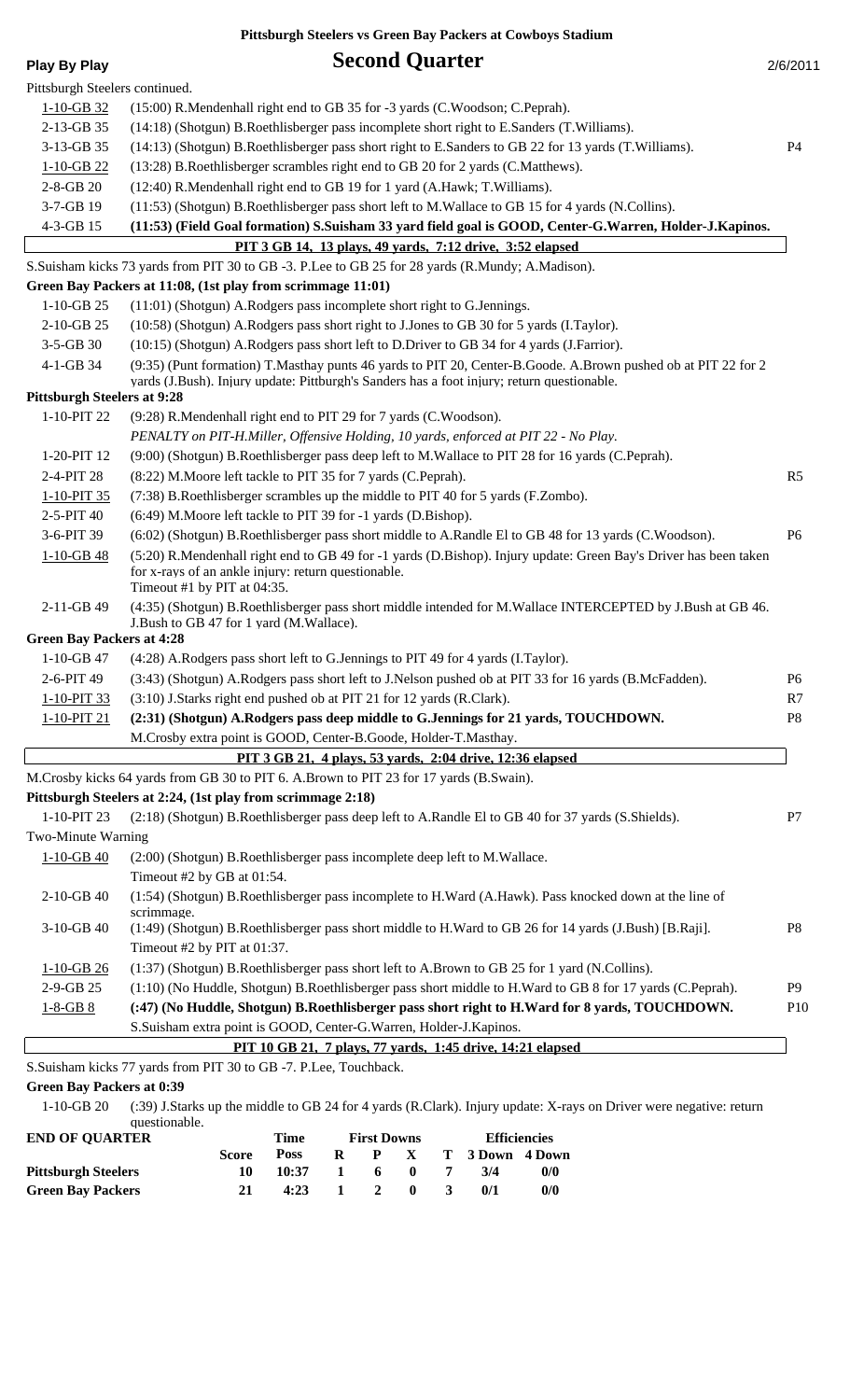| <b>Play By Play</b>                | <b>Second Quarter</b>                                                                                                                                                                                       | 2/6/2011        |
|------------------------------------|-------------------------------------------------------------------------------------------------------------------------------------------------------------------------------------------------------------|-----------------|
| Pittsburgh Steelers continued.     |                                                                                                                                                                                                             |                 |
| $1 - 10 - GB$ 32                   | (15:00) R.Mendenhall right end to GB 35 for -3 yards (C.Woodson; C.Peprah).                                                                                                                                 |                 |
| 2-13-GB 35                         | (14:18) (Shotgun) B.Roethlisberger pass incomplete short right to E.Sanders (T.Williams).                                                                                                                   |                 |
| 3-13-GB 35                         | (14:13) (Shotgun) B.Roethlisberger pass short right to E.Sanders to GB 22 for 13 yards (T.Williams).                                                                                                        | <b>P4</b>       |
|                                    |                                                                                                                                                                                                             |                 |
| $1 - 10 - GB$ 22                   | (13:28) B.Roethlisberger scrambles right end to GB 20 for 2 yards (C.Matthews).                                                                                                                             |                 |
| $2 - 8 - GB$ 20                    | (12:40) R.Mendenhall right end to GB 19 for 1 yard (A.Hawk; T.Williams).                                                                                                                                    |                 |
| 3-7-GB 19                          | (11:53) (Shotgun) B.Roethlisberger pass short left to M.Wallace to GB 15 for 4 yards (N.Collins).                                                                                                           |                 |
| 4-3-GB 15                          | (11:53) (Field Goal formation) S.Suisham 33 yard field goal is GOOD, Center-G.Warren, Holder-J.Kapinos.                                                                                                     |                 |
|                                    | PIT 3 GB 14, 13 plays, 49 yards, 7:12 drive, 3:52 elapsed                                                                                                                                                   |                 |
|                                    | S.Suisham kicks 73 yards from PIT 30 to GB -3. P.Lee to GB 25 for 28 yards (R.Mundy; A.Madison).                                                                                                            |                 |
|                                    | Green Bay Packers at 11:08, (1st play from scrimmage 11:01)                                                                                                                                                 |                 |
| $1-10-GB$ 25                       | (11:01) (Shotgun) A.Rodgers pass incomplete short right to G.Jennings.                                                                                                                                      |                 |
| $2-10-GB$ 25                       | (10:58) (Shotgun) A.Rodgers pass short right to J.Jones to GB 30 for 5 yards (I.Taylor).                                                                                                                    |                 |
| 3-5-GB 30                          | (10:15) (Shotgun) A.Rodgers pass short left to D.Driver to GB 34 for 4 yards (J.Farrior).                                                                                                                   |                 |
| 4-1-GB 34                          | (9:35) (Punt formation) T.Masthay punts 46 yards to PIT 20, Center-B.Goode. A.Brown pushed ob at PIT 22 for 2<br>yards (J.Bush). Injury update: Pittburgh's Sanders has a foot injury; return questionable. |                 |
| <b>Pittsburgh Steelers at 9:28</b> |                                                                                                                                                                                                             |                 |
| 1-10-PIT 22                        | (9:28) R.Mendenhall right end to PIT 29 for 7 yards (C.Woodson).                                                                                                                                            |                 |
|                                    | PENALTY on PIT-H.Miller, Offensive Holding, 10 yards, enforced at PIT 22 - No Play.                                                                                                                         |                 |
| 1-20-PIT 12                        | (9:00) (Shotgun) B.Roethlisberger pass deep left to M.Wallace to PIT 28 for 16 yards (C.Peprah).                                                                                                            |                 |
| 2-4-PIT 28                         | (8:22) M. Moore left tackle to PIT 35 for 7 yards (C. Peprah).                                                                                                                                              | R <sub>5</sub>  |
| 1-10-PIT 35                        | (7:38) B.Roethlisberger scrambles up the middle to PIT 40 for 5 yards (F.Zombo).                                                                                                                            |                 |
| 2-5-PIT 40                         | (6:49) M. Moore left tackle to PIT 39 for -1 yards (D. Bishop).                                                                                                                                             |                 |
| 3-6-PIT 39                         | (6:02) (Shotgun) B.Roethlisberger pass short middle to A.Randle El to GB 48 for 13 yards (C.Woodson).                                                                                                       | P <sub>6</sub>  |
| $1 - 10 - GB - 48$                 | (5:20) R.Mendenhall right end to GB 49 for -1 yards (D.Bishop). Injury update: Green Bay's Driver has been taken<br>for x-rays of an ankle injury: return questionable.<br>Timeout #1 by PIT at 04:35.      |                 |
| 2-11-GB 49                         | (4:35) (Shotgun) B.Roethlisberger pass short middle intended for M.Wallace INTERCEPTED by J.Bush at GB 46.<br>J.Bush to GB 47 for 1 yard (M.Wallace).                                                       |                 |
| <b>Green Bay Packers at 4:28</b>   |                                                                                                                                                                                                             |                 |
|                                    | 1-10-GB 47 (4:28) A.Rodgers pass short left to G.Jennings to PIT 49 for 4 yards (I.Taylor).                                                                                                                 |                 |
| 2-6-PIT 49                         | (3:43) (Shotgun) A.Rodgers pass short left to J.Nelson pushed ob at PIT 33 for 16 yards (B.McFadden).                                                                                                       | P <sub>6</sub>  |
| 1-10-PIT 33                        | (3:10) J.Starks right end pushed ob at PIT 21 for 12 yards (R.Clark).                                                                                                                                       | R7              |
| $1 - 10 - PIT$ 21                  | (2:31) (Shotgun) A.Rodgers pass deep middle to G.Jennings for 21 yards, TOUCHDOWN.                                                                                                                          | P8              |
|                                    | M.Crosby extra point is GOOD, Center-B.Goode, Holder-T.Masthay.                                                                                                                                             |                 |
|                                    | PIT 3 GB 21, 4 plays, 53 yards, 2:04 drive, 12:36 elapsed                                                                                                                                                   |                 |
|                                    | M.Crosby kicks 64 yards from GB 30 to PIT 6. A.Brown to PIT 23 for 17 yards (B.Swain).                                                                                                                      |                 |
|                                    | Pittsburgh Steelers at 2:24, (1st play from scrimmage 2:18)                                                                                                                                                 |                 |
| 1-10-PIT 23                        | (2:18) (Shotgun) B.Roethlisberger pass deep left to A.Randle El to GB 40 for 37 yards (S.Shields).                                                                                                          | P7              |
| <b>Two-Minute Warning</b>          |                                                                                                                                                                                                             |                 |
| $1 - 10 - GB - 40$                 | (2:00) (Shotgun) B.Roethlisberger pass incomplete deep left to M.Wallace.<br>Timeout #2 by GB at 01:54.                                                                                                     |                 |
| 2-10-GB 40                         | (1:54) (Shotgun) B.Roethlisberger pass incomplete to H.Ward (A.Hawk). Pass knocked down at the line of<br>scrimmage.                                                                                        |                 |
| 3-10-GB 40                         | (1:49) (Shotgun) B.Roethlisberger pass short middle to H.Ward to GB 26 for 14 yards (J.Bush) [B.Raji].<br>Timeout #2 by PIT at 01:37.                                                                       | P <sub>8</sub>  |
| $1 - 10 - GB$ 26                   | (1:37) (Shotgun) B.Roethlisberger pass short left to A.Brown to GB 25 for 1 yard (N.Collins).                                                                                                               |                 |
| 2-9-GB 25                          | (1:10) (No Huddle, Shotgun) B.Roethlisberger pass short middle to H.Ward to GB 8 for 17 yards (C.Peprah).                                                                                                   | P <sub>9</sub>  |
| $1 - 8 - GB 8$                     | (:47) (No Huddle, Shotgun) B.Roethlisberger pass short right to H.Ward for 8 yards, TOUCHDOWN.                                                                                                              | P <sub>10</sub> |

S.Suisham kicks 77 yards from PIT 30 to GB -7. P.Lee, Touchback.

### **Green Bay Packers at 0:39**

(:39) J.Starks up the middle to GB 24 for 4 yards (R.Clark). Injury update: X-rays on Driver were negative: return questionable. 1-10-GB 20

 **PIT 10 GB 21, 7 plays, 77 yards, 1:45 drive, 14:21 elapsed**

| <b>END OF OUARTER</b>      |       | Time        |                | <b>First Downs</b> |                     |                         |                 | <b>Efficiencies</b> |
|----------------------------|-------|-------------|----------------|--------------------|---------------------|-------------------------|-----------------|---------------------|
|                            | Score | <b>Poss</b> | R              |                    | P X                 |                         | T 3 Down 4 Down |                     |
| <b>Pittsburgh Steelers</b> |       | 10:37       | $\blacksquare$ | 6 <sup>6</sup>     | -0                  |                         | 3/4             | 0/0                 |
| <b>Green Bay Packers</b>   |       | 4:23        |                |                    | $1 \quad 2 \quad 0$ | $\overline{\mathbf{3}}$ | 0/1             | 0/0                 |

S.Suisham extra point is GOOD, Center-G.Warren, Holder-J.Kapinos.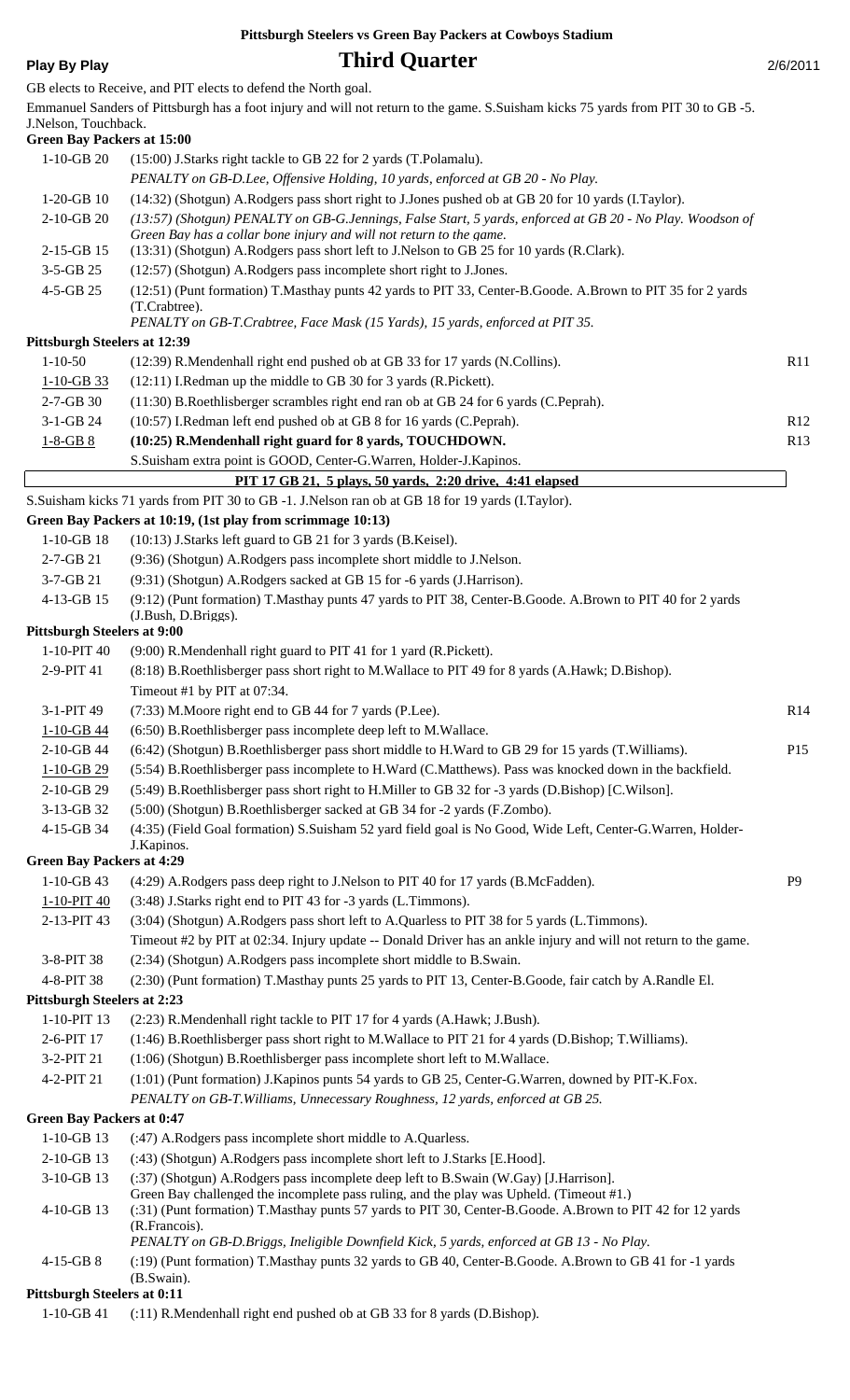## **Play By Play** 2/6/2011

|                                     | GB elects to Receive, and PIT elects to defend the North goal.                                                                                                  |                |
|-------------------------------------|-----------------------------------------------------------------------------------------------------------------------------------------------------------------|----------------|
|                                     | Emmanuel Sanders of Pittsburgh has a foot injury and will not return to the game. S.Suisham kicks 75 yards from PIT 30 to GB -5.                                |                |
| J.Nelson, Touchback.                |                                                                                                                                                                 |                |
| <b>Green Bay Packers at 15:00</b>   |                                                                                                                                                                 |                |
| $1-10-GB$ 20                        | (15:00) J.Starks right tackle to GB 22 for 2 yards (T.Polamalu).                                                                                                |                |
|                                     | PENALTY on GB-D.Lee, Offensive Holding, 10 yards, enforced at GB 20 - No Play.                                                                                  |                |
| $1-20-GB$ 10                        | (14:32) (Shotgun) A.Rodgers pass short right to J.Jones pushed ob at GB 20 for 10 yards (I.Taylor).                                                             |                |
| 2-10-GB 20                          | (13:57) (Shotgun) PENALTY on GB-G.Jennings, False Start, 5 yards, enforced at GB 20 - No Play. Woodson of                                                       |                |
| 2-15-GB 15                          | Green Bay has a collar bone injury and will not return to the game.<br>(13:31) (Shotgun) A.Rodgers pass short left to J.Nelson to GB 25 for 10 yards (R.Clark). |                |
| 3-5-GB 25                           | (12:57) (Shotgun) A.Rodgers pass incomplete short right to J.Jones.                                                                                             |                |
| 4-5-GB 25                           | (12:51) (Punt formation) T.Masthay punts 42 yards to PIT 33, Center-B.Goode. A.Brown to PIT 35 for 2 yards                                                      |                |
|                                     | (T.Crabtree).                                                                                                                                                   |                |
|                                     | PENALTY on GB-T.Crabtree, Face Mask (15 Yards), 15 yards, enforced at PIT 35.                                                                                   |                |
| <b>Pittsburgh Steelers at 12:39</b> |                                                                                                                                                                 |                |
| $1 - 10 - 50$                       | (12:39) R.Mendenhall right end pushed ob at GB 33 for 17 yards (N.Collins).                                                                                     | R11            |
| $1 - 10 - GB$ 33                    | (12:11) I.Redman up the middle to GB 30 for 3 yards (R.Pickett).                                                                                                |                |
| $2 - 7 - GB$ 30                     | (11:30) B.Roethlisberger scrambles right end ran ob at GB 24 for 6 yards (C.Peprah).                                                                            |                |
| 3-1-GB 24                           | (10:57) I.Redman left end pushed ob at GB 8 for 16 yards (C.Peprah).                                                                                            | R12            |
| $1 - 8 - GB 8$                      | (10:25) R.Mendenhall right guard for 8 yards, TOUCHDOWN.                                                                                                        | R13            |
|                                     | S.Suisham extra point is GOOD, Center-G.Warren, Holder-J.Kapinos.                                                                                               |                |
|                                     | PIT 17 GB 21, 5 plays, 50 yards, 2:20 drive, 4:41 elapsed                                                                                                       |                |
|                                     | S.Suisham kicks 71 yards from PIT 30 to GB -1. J.Nelson ran ob at GB 18 for 19 yards (I.Taylor).                                                                |                |
|                                     | Green Bay Packers at 10:19, (1st play from scrimmage 10:13)                                                                                                     |                |
| $1-10-GB$ 18                        |                                                                                                                                                                 |                |
|                                     | (10:13) J.Starks left guard to GB 21 for 3 yards (B.Keisel).                                                                                                    |                |
| 2-7-GB 21                           | (9:36) (Shotgun) A.Rodgers pass incomplete short middle to J.Nelson.                                                                                            |                |
| 3-7-GB 21                           | (9:31) (Shotgun) A.Rodgers sacked at GB 15 for -6 yards (J.Harrison).                                                                                           |                |
| 4-13-GB 15                          | (9:12) (Punt formation) T. Masthay punts 47 yards to PIT 38, Center-B. Goode. A. Brown to PIT 40 for 2 yards<br>(J.Bush, D.Briggs).                             |                |
| <b>Pittsburgh Steelers at 9:00</b>  |                                                                                                                                                                 |                |
| 1-10-PIT 40                         | (9:00) R.Mendenhall right guard to PIT 41 for 1 yard (R.Pickett).                                                                                               |                |
| 2-9-PIT 41                          | (8:18) B.Roethlisberger pass short right to M.Wallace to PIT 49 for 8 yards (A.Hawk; D.Bishop).                                                                 |                |
|                                     | Timeout #1 by PIT at 07:34.                                                                                                                                     |                |
| 3-1-PIT 49                          | (7:33) M. Moore right end to GB 44 for 7 yards (P. Lee).                                                                                                        | R14            |
| $1-10-GB44$                         | (6:50) B.Roethlisberger pass incomplete deep left to M.Wallace.                                                                                                 |                |
|                                     |                                                                                                                                                                 | P15            |
| 2-10-GB 44                          | (6:42) (Shotgun) B.Roethlisberger pass short middle to H.Ward to GB 29 for 15 yards (T.Williams).                                                               |                |
| $1-10-GB$ 29                        | (5:54) B.Roethlisberger pass incomplete to H.Ward (C.Matthews). Pass was knocked down in the backfield.                                                         |                |
| 2-10-GB 29                          | (5:49) B.Roethlisberger pass short right to H.Miller to GB 32 for -3 yards (D.Bishop) [C.Wilson].                                                               |                |
| 3-13-GB 32                          | (5:00) (Shotgun) B.Roethlisberger sacked at GB 34 for -2 yards (F.Zombo).                                                                                       |                |
| 4-15-GB 34                          | (4:35) (Field Goal formation) S.Suisham 52 yard field goal is No Good, Wide Left, Center-G.Warren, Holder-                                                      |                |
| <b>Green Bay Packers at 4:29</b>    | J.Kapinos.                                                                                                                                                      |                |
| $1-10-GB$ 43                        | (4:29) A.Rodgers pass deep right to J.Nelson to PIT 40 for 17 yards (B.McFadden).                                                                               | P <sub>9</sub> |
| $1 - 10 - PIT$ 40                   | (3:48) J.Starks right end to PIT 43 for -3 yards (L.Timmons).                                                                                                   |                |
| 2-13-PIT 43                         |                                                                                                                                                                 |                |
|                                     | (3:04) (Shotgun) A.Rodgers pass short left to A.Quarless to PIT 38 for 5 yards (L.Timmons).                                                                     |                |
|                                     | Timeout #2 by PIT at 02:34. Injury update -- Donald Driver has an ankle injury and will not return to the game.                                                 |                |
| 3-8-PIT 38                          | (2:34) (Shotgun) A.Rodgers pass incomplete short middle to B.Swain.                                                                                             |                |
| 4-8-PIT 38                          | (2:30) (Punt formation) T. Masthay punts 25 yards to PIT 13, Center-B. Goode, fair catch by A. Randle El.                                                       |                |
| <b>Pittsburgh Steelers at 2:23</b>  |                                                                                                                                                                 |                |
| 1-10-PIT 13                         | (2:23) R.Mendenhall right tackle to PIT 17 for 4 yards (A.Hawk; J.Bush).                                                                                        |                |
| 2-6-PIT 17                          | (1:46) B.Roethlisberger pass short right to M.Wallace to PIT 21 for 4 yards (D.Bishop; T.Williams).                                                             |                |
| 3-2-PIT 21                          | (1:06) (Shotgun) B.Roethlisberger pass incomplete short left to M.Wallace.                                                                                      |                |
| 4-2-PIT 21                          | (1:01) (Punt formation) J. Kapinos punts 54 yards to GB 25, Center-G. Warren, downed by PIT-K. Fox.                                                             |                |
|                                     | PENALTY on GB-T. Williams, Unnecessary Roughness, 12 yards, enforced at GB 25.                                                                                  |                |
| <b>Green Bay Packers at 0:47</b>    |                                                                                                                                                                 |                |
| $1-10-GB$ 13                        | (:47) A.Rodgers pass incomplete short middle to A.Quarless.                                                                                                     |                |
| 2-10-GB 13                          | (:43) (Shotgun) A.Rodgers pass incomplete short left to J.Starks [E.Hood].                                                                                      |                |
| 3-10-GB 13                          | (:37) (Shotgun) A.Rodgers pass incomplete deep left to B.Swain (W.Gay) [J.Harrison].                                                                            |                |
|                                     | Green Bay challenged the incomplete pass ruling, and the play was Upheld. (Timeout #1.)                                                                         |                |
| 4-10-GB 13                          | (:31) (Punt formation) T.Masthay punts 57 yards to PIT 30, Center-B.Goode. A.Brown to PIT 42 for 12 yards<br>(R.Francois).                                      |                |
|                                     | PENALTY on GB-D.Briggs, Ineligible Downfield Kick, 5 yards, enforced at GB 13 - No Play.                                                                        |                |
| 4-15-GB 8                           | (:19) (Punt formation) T.Masthay punts 32 yards to GB 40, Center-B.Goode. A.Brown to GB 41 for -1 yards                                                         |                |
|                                     | (B.Swain).                                                                                                                                                      |                |
| <b>Pittsburgh Steelers at 0:11</b>  |                                                                                                                                                                 |                |

<sup>1-10-</sup>GB 41 (:11) R.Mendenhall right end pushed ob at GB 33 for 8 yards (D.Bishop).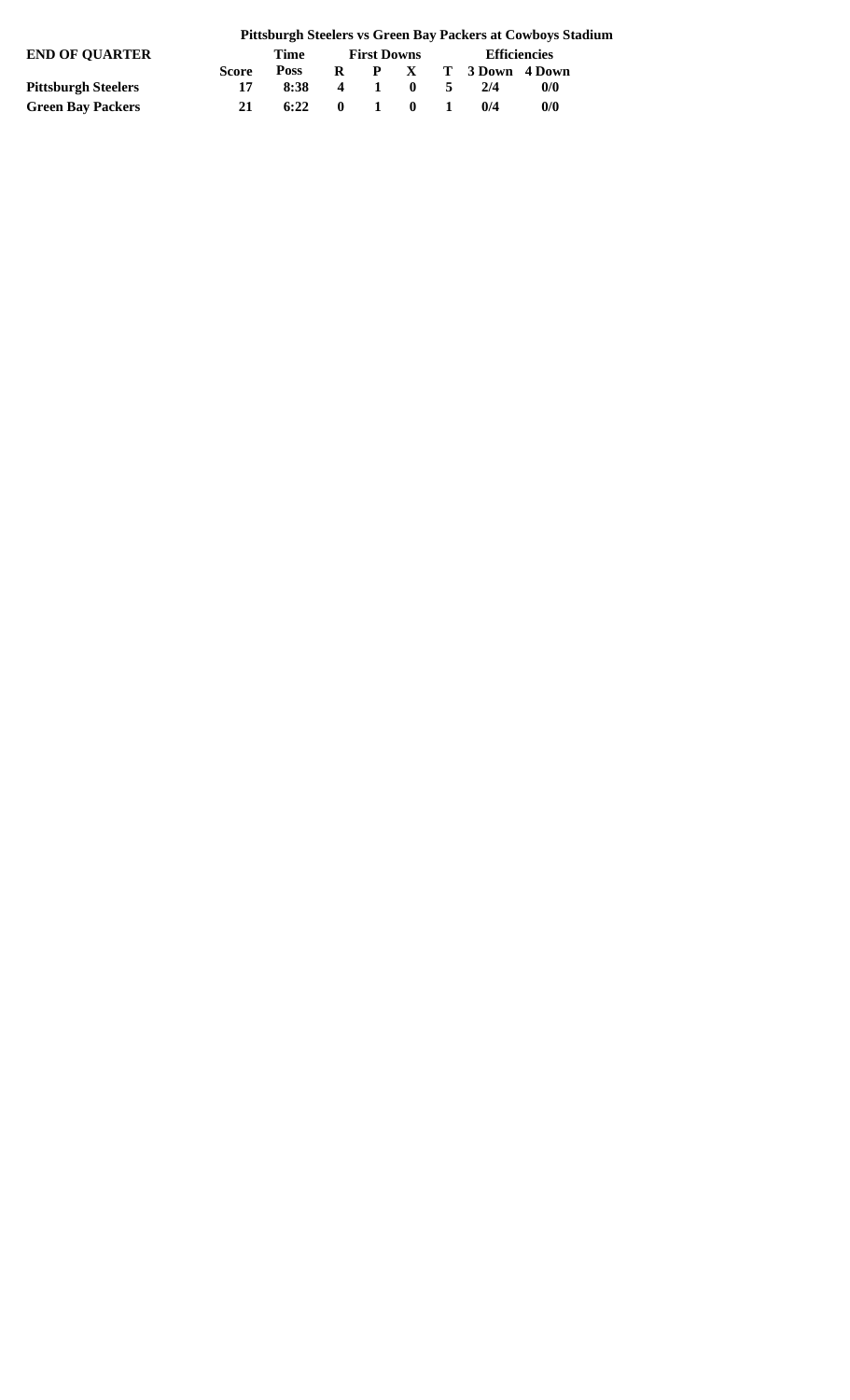| <b>END OF OUARTER</b>      |              | Time        | <b>First Downs</b> |  |         | <b>Efficiencies</b> |                       |     |  |
|----------------------------|--------------|-------------|--------------------|--|---------|---------------------|-----------------------|-----|--|
|                            | <b>Score</b> | <b>Poss</b> |                    |  |         |                     | R P X T 3 Down 4 Down |     |  |
| <b>Pittsburgh Steelers</b> |              | 8:38        |                    |  | 4 1 0 5 |                     | 2/4                   | 0/0 |  |
| <b>Green Bay Packers</b>   | 21           | 6:22        | $\mathbf{0}$       |  | 1 0 1   |                     | 0/4                   | 0/0 |  |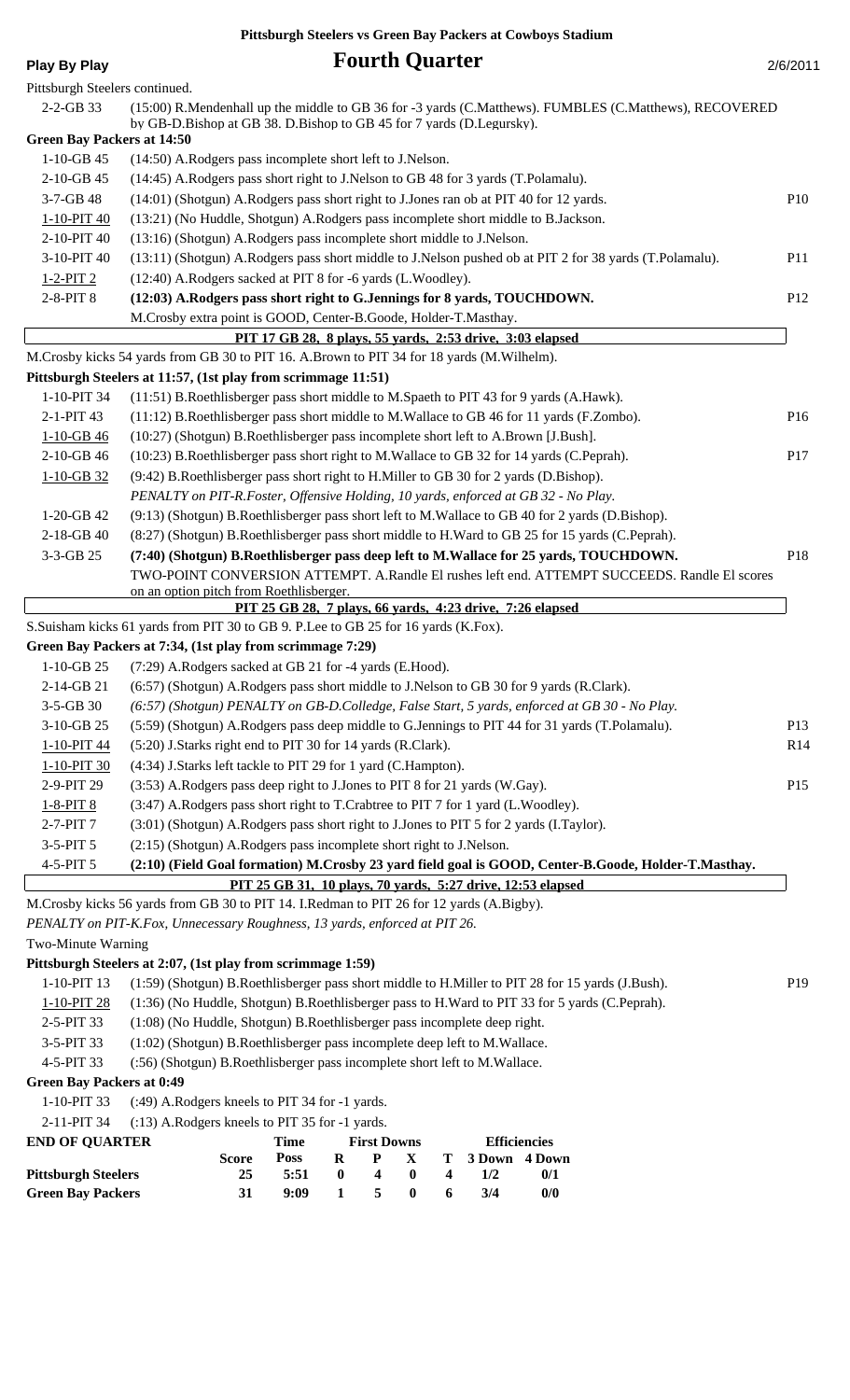## **Play By Play Play Play Play Play Play Play Play Play Play Play Play Play Play Play Play Play Play Play Play Play Play Play Play Play Play Play Play Play Play Pla**

| Pittsburgh Steelers continued.    |                                                                                                                                                                                |                 |
|-----------------------------------|--------------------------------------------------------------------------------------------------------------------------------------------------------------------------------|-----------------|
| 2-2-GB 33                         | (15:00) R.Mendenhall up the middle to GB 36 for -3 yards (C.Matthews). FUMBLES (C.Matthews), RECOVERED<br>by GB-D.Bishop at GB 38. D.Bishop to GB 45 for 7 yards (D.Legursky). |                 |
| <b>Green Bay Packers at 14:50</b> |                                                                                                                                                                                |                 |
| $1-10-GB$ 45                      | (14:50) A.Rodgers pass incomplete short left to J.Nelson.                                                                                                                      |                 |
| 2-10-GB 45                        | (14:45) A.Rodgers pass short right to J.Nelson to GB 48 for 3 yards (T.Polamalu).                                                                                              |                 |
| 3-7-GB 48                         | (14:01) (Shotgun) A.Rodgers pass short right to J.Jones ran ob at PIT 40 for 12 yards.                                                                                         | <b>P10</b>      |
| 1-10-PIT 40                       | (13:21) (No Huddle, Shotgun) A.Rodgers pass incomplete short middle to B.Jackson.                                                                                              |                 |
| 2-10-PIT 40                       | (13:16) (Shotgun) A.Rodgers pass incomplete short middle to J.Nelson.                                                                                                          |                 |
| 3-10-PIT 40                       | (13:11) (Shotgun) A.Rodgers pass short middle to J.Nelson pushed ob at PIT 2 for 38 yards (T.Polamalu).                                                                        | <b>P11</b>      |
| $1 - 2 - PIT$ 2                   | (12:40) A.Rodgers sacked at PIT 8 for -6 yards (L.Woodley).                                                                                                                    |                 |
| 2-8-PIT 8                         | (12:03) A.Rodgers pass short right to G.Jennings for 8 yards, TOUCHDOWN.                                                                                                       | P <sub>12</sub> |
|                                   | M.Crosby extra point is GOOD, Center-B.Goode, Holder-T.Masthay.                                                                                                                |                 |
|                                   | PIT 17 GB 28, 8 plays, 55 yards, 2:53 drive, 3:03 elapsed                                                                                                                      |                 |
|                                   | M.Crosby kicks 54 yards from GB 30 to PIT 16. A.Brown to PIT 34 for 18 yards (M.Wilhelm).                                                                                      |                 |
|                                   | Pittsburgh Steelers at 11:57, (1st play from scrimmage 11:51)                                                                                                                  |                 |
| 1-10-PIT 34                       | (11:51) B.Roethlisberger pass short middle to M.Spaeth to PIT 43 for 9 yards (A.Hawk).                                                                                         |                 |
| 2-1-PIT 43                        | (11:12) B.Roethlisberger pass short middle to M.Wallace to GB 46 for 11 yards (F.Zombo).                                                                                       | P <sub>16</sub> |
| $1-10-GB46$                       | (10:27) (Shotgun) B.Roethlisberger pass incomplete short left to A.Brown [J.Bush].                                                                                             |                 |
| 2-10-GB 46                        | (10:23) B.Roethlisberger pass short right to M.Wallace to GB 32 for 14 yards (C.Peprah).                                                                                       | P17             |
| $1 - 10 - GB$ 32                  | (9:42) B.Roethlisberger pass short right to H.Miller to GB 30 for 2 yards (D.Bishop).                                                                                          |                 |
|                                   | PENALTY on PIT-R.Foster, Offensive Holding, 10 yards, enforced at GB 32 - No Play.                                                                                             |                 |
| $1-20-GB$ 42                      | (9:13) (Shotgun) B.Roethlisberger pass short left to M.Wallace to GB 40 for 2 yards (D.Bishop).                                                                                |                 |
| 2-18-GB 40                        | (8:27) (Shotgun) B.Roethlisberger pass short middle to H.Ward to GB 25 for 15 yards (C.Peprah).                                                                                |                 |
| 3-3-GB 25                         | (7:40) (Shotgun) B.Roethlisberger pass deep left to M.Wallace for 25 yards, TOUCHDOWN.                                                                                         | P18             |
|                                   | TWO-POINT CONVERSION ATTEMPT. A.Randle El rushes left end. ATTEMPT SUCCEEDS. Randle El scores                                                                                  |                 |
|                                   | on an option pitch from Roethlisberger.                                                                                                                                        |                 |
|                                   | PIT 25 GB 28, 7 plays, 66 yards, 4:23 drive, 7:26 elapsed                                                                                                                      |                 |
|                                   | S.Suisham kicks 61 yards from PIT 30 to GB 9. P.Lee to GB 25 for 16 yards (K.Fox).                                                                                             |                 |
|                                   | Green Bay Packers at 7:34, (1st play from scrimmage 7:29)                                                                                                                      |                 |
| $1-10-GB$ 25                      | (7:29) A.Rodgers sacked at GB 21 for -4 yards (E.Hood).                                                                                                                        |                 |
| 2-14-GB 21                        | (6:57) (Shotgun) A.Rodgers pass short middle to J.Nelson to GB 30 for 9 yards (R.Clark).                                                                                       |                 |
| 3-5-GB 30                         | (6:57) (Shotgun) PENALTY on GB-D.Colledge, False Start, 5 yards, enforced at GB 30 - No Play.                                                                                  |                 |
| 3-10-GB 25                        | (5:59) (Shotgun) A.Rodgers pass deep middle to G.Jennings to PIT 44 for 31 yards (T.Polamalu).                                                                                 | P <sub>13</sub> |
| 1-10-PIT 44                       | (5:20) J.Starks right end to PIT 30 for 14 yards (R.Clark).                                                                                                                    | R14             |
| 1-10-PIT 30                       | (4:34) J.Starks left tackle to PIT 29 for 1 yard (C.Hampton).                                                                                                                  |                 |
| 2-9-PIT 29                        | (3:53) A.Rodgers pass deep right to J.Jones to PIT 8 for 21 yards (W.Gay).                                                                                                     | P <sub>15</sub> |
| $1 - 8 - PIT8$                    | (3:47) A.Rodgers pass short right to T.Crabtree to PIT 7 for 1 yard (L.Woodley).                                                                                               |                 |
| 2-7-PIT 7                         | (3:01) (Shotgun) A.Rodgers pass short right to J.Jones to PIT 5 for 2 yards (I.Taylor).                                                                                        |                 |
| 3-5-PIT 5                         | (2:15) (Shotgun) A.Rodgers pass incomplete short right to J.Nelson.                                                                                                            |                 |
| 4-5-PIT 5                         | (2:10) (Field Goal formation) M.Crosby 23 yard field goal is GOOD, Center-B.Goode, Holder-T.Masthay.                                                                           |                 |
|                                   | PIT 25 GB 31, 10 plays, 70 yards, 5:27 drive, 12:53 elapsed                                                                                                                    |                 |
|                                   | M.Crosby kicks 56 yards from GB 30 to PIT 14. I.Redman to PIT 26 for 12 yards (A.Bigby).                                                                                       |                 |
|                                   | PENALTY on PIT-K.Fox, Unnecessary Roughness, 13 yards, enforced at PIT 26.                                                                                                     |                 |
| Two-Minute Warning                |                                                                                                                                                                                |                 |
|                                   | Pittsburgh Steelers at 2:07, (1st play from scrimmage 1:59)                                                                                                                    |                 |
| 1-10-PIT 13                       | (1:59) (Shotgun) B.Roethlisberger pass short middle to H.Miller to PIT 28 for 15 yards (J.Bush).                                                                               | P <sub>19</sub> |
| 1.10 DIT $28$                     | $(1.26)$ (No Huddle, Shotour) D Doothlighersor page to H Word to DIT 22 for 5 yers (C Daprob)                                                                                  |                 |

1-10-PIT 28 (1:36) (No Huddle, Shotgun) B.Roethlisberger pass to H.Ward to PIT 33 for 5 yards (C.Peprah).

2-5-PIT 33 (1:08) (No Huddle, Shotgun) B.Roethlisberger pass incomplete deep right.

3-5-PIT 33 (1:02) (Shotgun) B.Roethlisberger pass incomplete deep left to M.Wallace.

4-5-PIT 33 (:56) (Shotgun) B.Roethlisberger pass incomplete short left to M.Wallace.

### **Green Bay Packers at 0:49**

```
1-10-PIT 33 (:49) A.Rodgers kneels to PIT 34 for -1 yards.
```
2-11-PIT 34 (:13) A.Rodgers kneels to PIT 35 for -1 yards.

| <b>END OF OUARTER</b>      |       | Time        | <b>First Downs</b> |                         |              |          | <b>Efficiencies</b> |     |  |
|----------------------------|-------|-------------|--------------------|-------------------------|--------------|----------|---------------------|-----|--|
|                            | Score | <b>Poss</b> | R                  | $\mathbf{P}$            | $\mathbf{X}$ |          | T 3 Down 4 Down     |     |  |
| <b>Pittsburgh Steelers</b> | 25    | 5:51        | $\mathbf{u}$       | $\overline{\mathbf{4}}$ | - 0          | $\sim$ 4 | 1/2                 | 0/1 |  |
| <b>Green Bay Packers</b>   | 31    | 9:09        |                    | $1 \quad 5$             | $\mathbf{0}$ | -6       | 3/4                 | 0/0 |  |